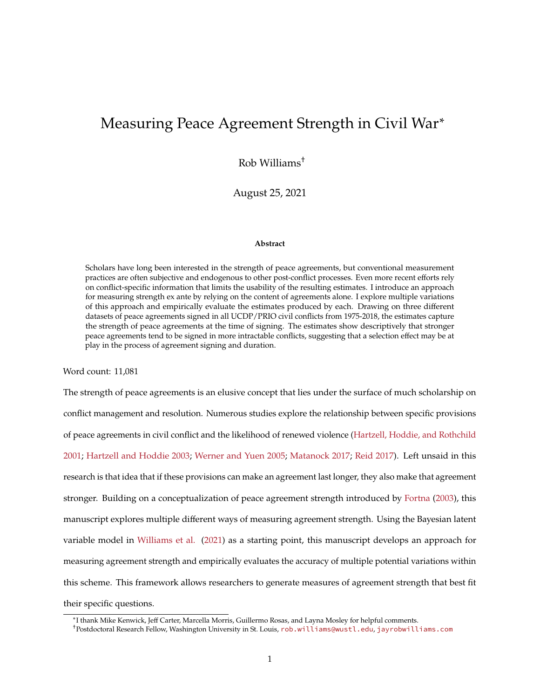# Measuring Peace Agreement Strength in Civil War<sup>∗</sup>

Rob Williams†

August 25, 2021

#### **Abstract**

Scholars have long been interested in the strength of peace agreements, but conventional measurement practices are often subjective and endogenous to other post-conflict processes. Even more recent efforts rely on conflict-specific information that limits the usability of the resulting estimates. I introduce an approach for measuring strength ex ante by relying on the content of agreements alone. I explore multiple variations of this approach and empirically evaluate the estimates produced by each. Drawing on three different datasets of peace agreements signed in all UCDP/PRIO civil conflicts from 1975-2018, the estimates capture the strength of peace agreements at the time of signing. The estimates show descriptively that stronger peace agreements tend to be signed in more intractable conflicts, suggesting that a selection effect may be at play in the process of agreement signing and duration.

Word count: 11,081

The strength of peace agreements is an elusive concept that lies under the surface of much scholarship on conflict management and resolution. Numerous studies explore the relationship between specific provisions of peace agreements in civil conflict and the likelihood of renewed violence [\(Hartzell, Hoddie, and Rothchild](#page-32-0) [2001;](#page-32-0) [Hartzell and Hoddie 2003;](#page-32-1) [Werner and Yuen 2005;](#page-35-0) [Matanock 2017;](#page-33-0) [Reid 2017\)](#page-34-0). Left unsaid in this research is that idea that if these provisions can make an agreement last longer, they also make that agreement stronger. Building on a conceptualization of peace agreement strength introduced by [Fortna](#page-31-0) [\(2003\)](#page-31-0), this manuscript explores multiple different ways of measuring agreement strength. Using the Bayesian latent variable model in [Williams et al.](#page-35-1) [\(2021\)](#page-35-1) as a starting point, this manuscript develops an approach for measuring agreement strength and empirically evaluates the accuracy of multiple potential variations within this scheme. This framework allows researchers to generate measures of agreement strength that best fit their specific questions.

<sup>∗</sup> I thank Mike Kenwick, Jeff Carter, Marcella Morris, Guillermo Rosas, and Layna Mosley for helpful comments.

<sup>†</sup>Postdoctoral Research Fellow, Washington University in St. Louis, [rob.williams@wustl.edu](mailto:rob.williams@wustl.edu), [jayrobwilliams.com](https://jayrobwilliams.com)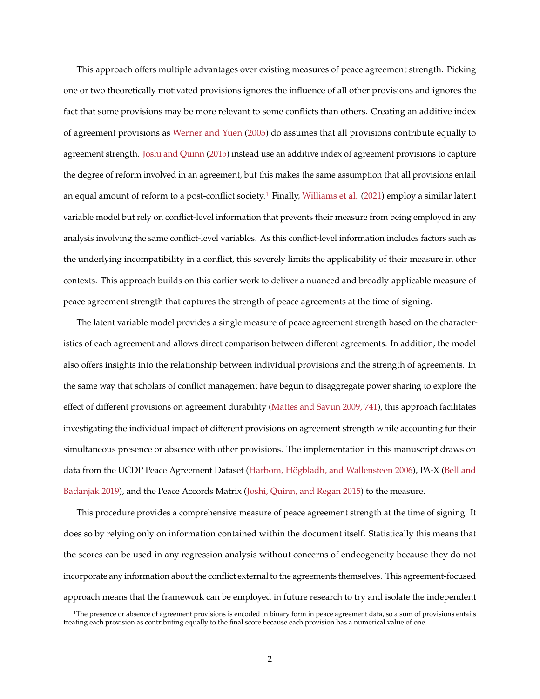This approach offers multiple advantages over existing measures of peace agreement strength. Picking one or two theoretically motivated provisions ignores the influence of all other provisions and ignores the fact that some provisions may be more relevant to some conflicts than others. Creating an additive index of agreement provisions as [Werner and Yuen](#page-35-0) [\(2005\)](#page-35-0) do assumes that all provisions contribute equally to agreement strength. [Joshi and Quinn](#page-32-2) [\(2015\)](#page-32-2) instead use an additive index of agreement provisions to capture the degree of reform involved in an agreement, but this makes the same assumption that all provisions entail an equal amount of reform to a post-conflict society.[1](#page-1-0) Finally, [Williams et al.](#page-35-1) [\(2021\)](#page-35-1) employ a similar latent variable model but rely on conflict-level information that prevents their measure from being employed in any analysis involving the same conflict-level variables. As this conflict-level information includes factors such as the underlying incompatibility in a conflict, this severely limits the applicability of their measure in other contexts. This approach builds on this earlier work to deliver a nuanced and broadly-applicable measure of peace agreement strength that captures the strength of peace agreements at the time of signing.

The latent variable model provides a single measure of peace agreement strength based on the characteristics of each agreement and allows direct comparison between different agreements. In addition, the model also offers insights into the relationship between individual provisions and the strength of agreements. In the same way that scholars of conflict management have begun to disaggregate power sharing to explore the effect of different provisions on agreement durability [\(Mattes and Savun 2009, 741\)](#page-33-1), this approach facilitates investigating the individual impact of different provisions on agreement strength while accounting for their simultaneous presence or absence with other provisions. The implementation in this manuscript draws on data from the UCDP Peace Agreement Dataset [\(Harbom, Högbladh, and Wallensteen 2006\)](#page-31-1), PA-X [\(Bell and](#page-30-0) [Badanjak 2019\)](#page-30-0), and the Peace Accords Matrix [\(Joshi, Quinn, and Regan 2015\)](#page-33-2) to the measure.

This procedure provides a comprehensive measure of peace agreement strength at the time of signing. It does so by relying only on information contained within the document itself. Statistically this means that the scores can be used in any regression analysis without concerns of endeogeneity because they do not incorporate any information about the conflict external to the agreements themselves. This agreement-focused approach means that the framework can be employed in future research to try and isolate the independent

<span id="page-1-0"></span><sup>1</sup>The presence or absence of agreement provisions is encoded in binary form in peace agreement data, so a sum of provisions entails treating each provision as contributing equally to the final score because each provision has a numerical value of one.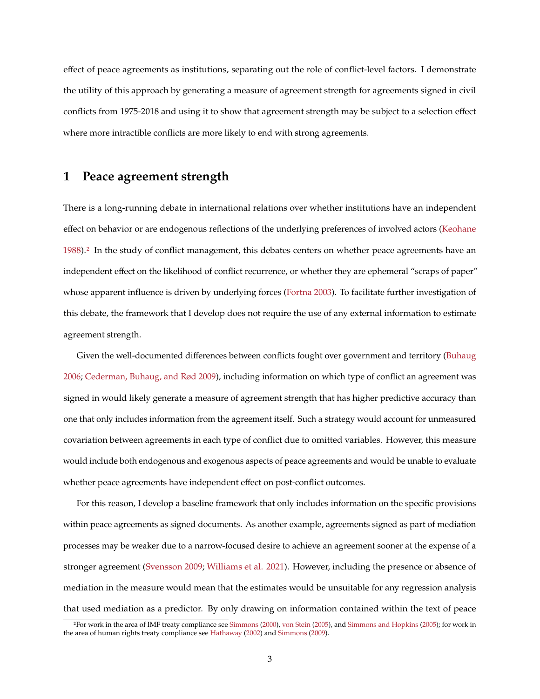effect of peace agreements as institutions, separating out the role of conflict-level factors. I demonstrate the utility of this approach by generating a measure of agreement strength for agreements signed in civil conflicts from 1975-2018 and using it to show that agreement strength may be subject to a selection effect where more intractible conflicts are more likely to end with strong agreements.

## **1 Peace agreement strength**

There is a long-running debate in international relations over whether institutions have an independent effect on behavior or are endogenous reflections of the underlying preferences of involved actors [\(Keohane](#page-33-3) [1988\)](#page-33-3).[2](#page-2-0) In the study of conflict management, this debates centers on whether peace agreements have an independent effect on the likelihood of conflict recurrence, or whether they are ephemeral "scraps of paper" whose apparent influence is driven by underlying forces [\(Fortna 2003\)](#page-31-0). To facilitate further investigation of this debate, the framework that I develop does not require the use of any external information to estimate agreement strength.

Given the well-documented differences between conflicts fought over government and territory [\(Buhaug](#page-30-1) [2006;](#page-30-1) [Cederman, Buhaug, and Rød 2009\)](#page-30-2), including information on which type of conflict an agreement was signed in would likely generate a measure of agreement strength that has higher predictive accuracy than one that only includes information from the agreement itself. Such a strategy would account for unmeasured covariation between agreements in each type of conflict due to omitted variables. However, this measure would include both endogenous and exogenous aspects of peace agreements and would be unable to evaluate whether peace agreements have independent effect on post-conflict outcomes.

For this reason, I develop a baseline framework that only includes information on the specific provisions within peace agreements as signed documents. As another example, agreements signed as part of mediation processes may be weaker due to a narrow-focused desire to achieve an agreement sooner at the expense of a stronger agreement [\(Svensson 2009;](#page-34-1) [Williams et al. 2021\)](#page-35-1). However, including the presence or absence of mediation in the measure would mean that the estimates would be unsuitable for any regression analysis that used mediation as a predictor. By only drawing on information contained within the text of peace

<span id="page-2-0"></span><sup>2</sup>For work in the area of IMF treaty compliance see [Simmons](#page-34-2) [\(2000\)](#page-34-2), [von Stein](#page-35-2) [\(2005\)](#page-35-2), and [Simmons and Hopkins](#page-34-3) [\(2005\)](#page-34-3); for work in the area of human rights treaty compliance see [Hathaway](#page-32-3) [\(2002\)](#page-32-3) and [Simmons](#page-34-4) [\(2009\)](#page-34-4).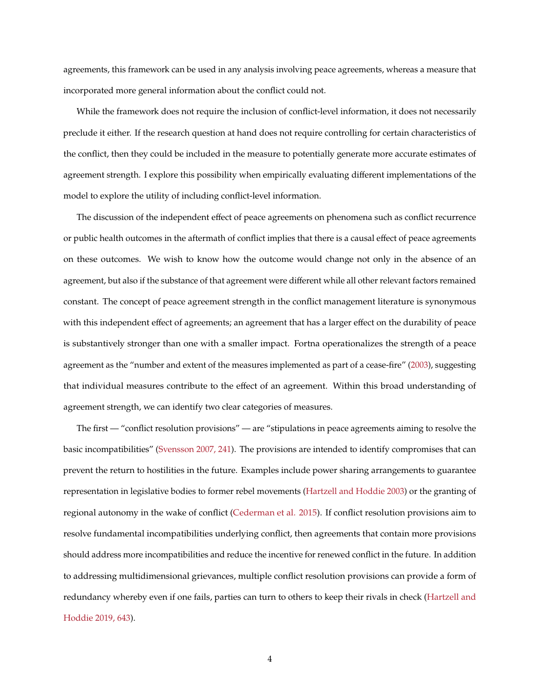agreements, this framework can be used in any analysis involving peace agreements, whereas a measure that incorporated more general information about the conflict could not.

While the framework does not require the inclusion of conflict-level information, it does not necessarily preclude it either. If the research question at hand does not require controlling for certain characteristics of the conflict, then they could be included in the measure to potentially generate more accurate estimates of agreement strength. I explore this possibility when empirically evaluating different implementations of the model to explore the utility of including conflict-level information.

The discussion of the independent effect of peace agreements on phenomena such as conflict recurrence or public health outcomes in the aftermath of conflict implies that there is a causal effect of peace agreements on these outcomes. We wish to know how the outcome would change not only in the absence of an agreement, but also if the substance of that agreement were different while all other relevant factors remained constant. The concept of peace agreement strength in the conflict management literature is synonymous with this independent effect of agreements; an agreement that has a larger effect on the durability of peace is substantively stronger than one with a smaller impact. Fortna operationalizes the strength of a peace agreement as the "number and extent of the measures implemented as part of a cease-fire" [\(2003\)](#page-31-0), suggesting that individual measures contribute to the effect of an agreement. Within this broad understanding of agreement strength, we can identify two clear categories of measures.

The first — "conflict resolution provisions" — are "stipulations in peace agreements aiming to resolve the basic incompatibilities" [\(Svensson 2007, 241\)](#page-34-5). The provisions are intended to identify compromises that can prevent the return to hostilities in the future. Examples include power sharing arrangements to guarantee representation in legislative bodies to former rebel movements [\(Hartzell and Hoddie 2003\)](#page-32-1) or the granting of regional autonomy in the wake of conflict [\(Cederman et al. 2015\)](#page-30-3). If conflict resolution provisions aim to resolve fundamental incompatibilities underlying conflict, then agreements that contain more provisions should address more incompatibilities and reduce the incentive for renewed conflict in the future. In addition to addressing multidimensional grievances, multiple conflict resolution provisions can provide a form of redundancy whereby even if one fails, parties can turn to others to keep their rivals in check [\(Hartzell and](#page-32-4) [Hoddie 2019, 643\)](#page-32-4).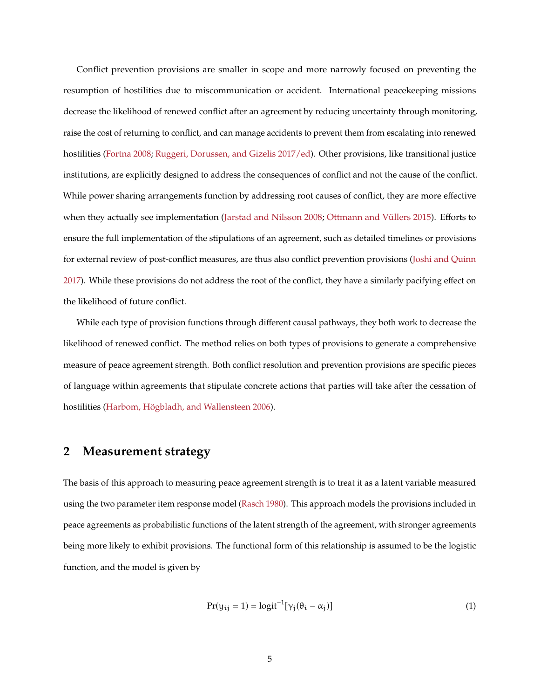Conflict prevention provisions are smaller in scope and more narrowly focused on preventing the resumption of hostilities due to miscommunication or accident. International peacekeeping missions decrease the likelihood of renewed conflict after an agreement by reducing uncertainty through monitoring, raise the cost of returning to conflict, and can manage accidents to prevent them from escalating into renewed hostilities [\(Fortna 2008;](#page-31-2) [Ruggeri, Dorussen, and Gizelis 2017/ed\)](#page-34-6). Other provisions, like transitional justice institutions, are explicitly designed to address the consequences of conflict and not the cause of the conflict. While power sharing arrangements function by addressing root causes of conflict, they are more effective when they actually see implementation [\(Jarstad and Nilsson 2008;](#page-32-5) [Ottmann and Vüllers 2015\)](#page-33-4). Efforts to ensure the full implementation of the stipulations of an agreement, such as detailed timelines or provisions for external review of post-conflict measures, are thus also conflict prevention provisions [\(Joshi and Quinn](#page-32-6) [2017\)](#page-32-6). While these provisions do not address the root of the conflict, they have a similarly pacifying effect on the likelihood of future conflict.

While each type of provision functions through different causal pathways, they both work to decrease the likelihood of renewed conflict. The method relies on both types of provisions to generate a comprehensive measure of peace agreement strength. Both conflict resolution and prevention provisions are specific pieces of language within agreements that stipulate concrete actions that parties will take after the cessation of hostilities [\(Harbom, Högbladh, and Wallensteen 2006\)](#page-31-1).

## <span id="page-4-1"></span>**2 Measurement strategy**

The basis of this approach to measuring peace agreement strength is to treat it as a latent variable measured using the two parameter item response model [\(Rasch 1980\)](#page-34-7). This approach models the provisions included in peace agreements as probabilistic functions of the latent strength of the agreement, with stronger agreements being more likely to exhibit provisions. The functional form of this relationship is assumed to be the logistic function, and the model is given by

<span id="page-4-0"></span>
$$
Pr(y_{ij} = 1) = logit^{-1}[\gamma_j(\theta_i - \alpha_j)]
$$
\n(1)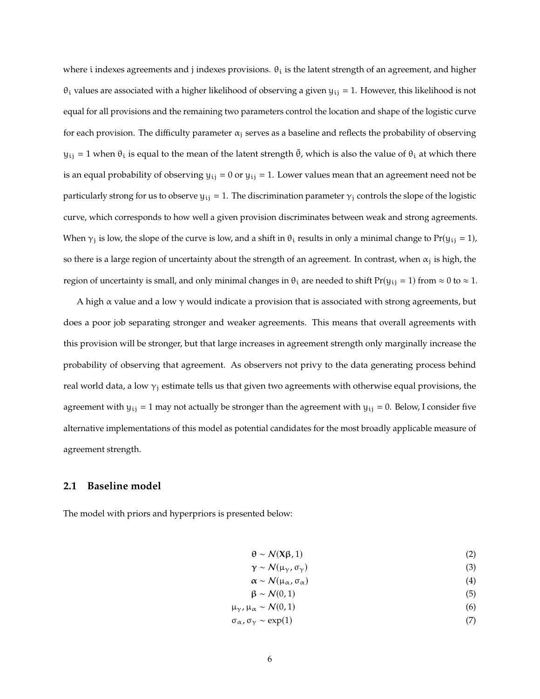where i indexes agreements and j indexes provisions.  $\theta_i$  is the latent strength of an agreement, and higher  $\theta_i$  values are associated with a higher likelihood of observing a given  $y_{ij} = 1$ . However, this likelihood is not equal for all provisions and the remaining two parameters control the location and shape of the logistic curve for each provision. The difficulty parameter  $\alpha_i$  serves as a baseline and reflects the probability of observing  $y_{ij} = 1$  when  $\theta_i$  is equal to the mean of the latent strength  $\bar{\theta}$ , which is also the value of  $\theta_i$  at which there is an equal probability of observing  $y_{ij} = 0$  or  $y_{ij} = 1$ . Lower values mean that an agreement need not be particularly strong for us to observe  $y_{ij} = 1$ . The discrimination parameter  $\gamma_i$  controls the slope of the logistic curve, which corresponds to how well a given provision discriminates between weak and strong agreements. When  $\gamma_i$  is low, the slope of the curve is low, and a shift in  $\theta_i$  results in only a minimal change to Pr( $y_{ii} = 1$ ), so there is a large region of uncertainty about the strength of an agreement. In contrast, when  $\alpha_i$  is high, the region of uncertainty is small, and only minimal changes in  $\theta_i$  are needed to shift  $Pr(y_{ij} = 1)$  from  $\approx 0$  to  $\approx 1$ .

A high  $\alpha$  value and a low  $\gamma$  would indicate a provision that is associated with strong agreements, but does a poor job separating stronger and weaker agreements. This means that overall agreements with this provision will be stronger, but that large increases in agreement strength only marginally increase the probability of observing that agreement. As observers not privy to the data generating process behind real world data, a low  $\gamma_i$  estimate tells us that given two agreements with otherwise equal provisions, the agreement with  $y_{ij} = 1$  may not actually be stronger than the agreement with  $y_{ij} = 0$ . Below, I consider five alternative implementations of this model as potential candidates for the most broadly applicable measure of agreement strength.

### **2.1 Baseline model**

The model with priors and hyperpriors is presented below:

<span id="page-5-0"></span>
$$
\theta \sim \mathcal{N}(X\beta, 1) \tag{2}
$$

- $\gamma \sim \mathcal{N}(\mu_{\gamma}, \sigma_{\gamma})$  (3)<br>  $\alpha \sim \mathcal{N}(\mu_{\alpha}, \sigma_{\alpha})$  (4)
- $\alpha \sim \mathcal{N}(\mu_{\alpha}, \sigma_{\alpha})$  (4)<br>  $\beta \sim \mathcal{N}(0, 1)$  (5)
- $\beta \sim N(0, 1)$  (5)
- $\mu_{\gamma}$ ,  $\mu_{\alpha} \sim \mathcal{N}(0, 1)$  (6)<br>  $\sigma_{\alpha}$ ,  $\sigma_{\gamma} \sim \exp(1)$  (7)
- σ<sub>α</sub>, σ<sub>γ</sub> ~ exp(1)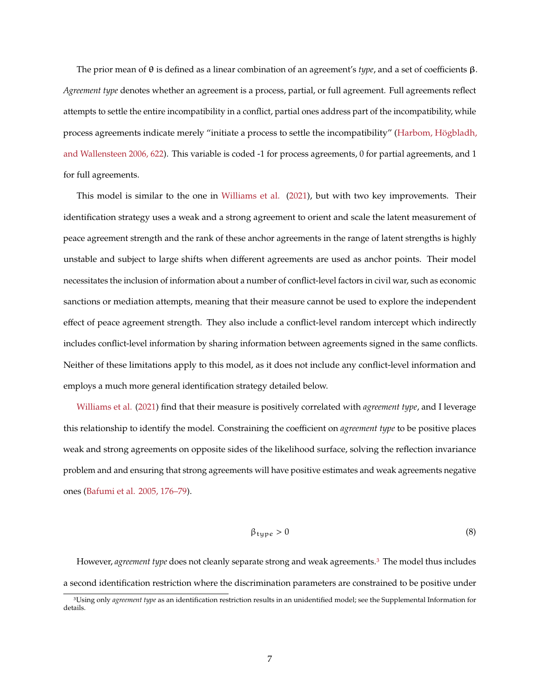The prior mean of θ is defined as a linear combination of an agreement's *type*, and a set of coefficients β. *Agreement type* denotes whether an agreement is a process, partial, or full agreement. Full agreements reflect attempts to settle the entire incompatibility in a conflict, partial ones address part of the incompatibility, while process agreements indicate merely "initiate a process to settle the incompatibility" [\(Harbom, Högbladh,](#page-31-1) [and Wallensteen 2006, 622\)](#page-31-1). This variable is coded -1 for process agreements, 0 for partial agreements, and 1 for full agreements.

This model is similar to the one in [Williams et al.](#page-35-1) [\(2021\)](#page-35-1), but with two key improvements. Their identification strategy uses a weak and a strong agreement to orient and scale the latent measurement of peace agreement strength and the rank of these anchor agreements in the range of latent strengths is highly unstable and subject to large shifts when different agreements are used as anchor points. Their model necessitates the inclusion of information about a number of conflict-level factors in civil war, such as economic sanctions or mediation attempts, meaning that their measure cannot be used to explore the independent effect of peace agreement strength. They also include a conflict-level random intercept which indirectly includes conflict-level information by sharing information between agreements signed in the same conflicts. Neither of these limitations apply to this model, as it does not include any conflict-level information and employs a much more general identification strategy detailed below.

[Williams et al.](#page-35-1) [\(2021\)](#page-35-1) find that their measure is positively correlated with *agreement type*, and I leverage this relationship to identify the model. Constraining the coefficient on *agreement type* to be positive places weak and strong agreements on opposite sides of the likelihood surface, solving the reflection invariance problem and and ensuring that strong agreements will have positive estimates and weak agreements negative ones [\(Bafumi et al. 2005, 176–79\)](#page-30-4).

<span id="page-6-1"></span>
$$
\beta_{\text{type}} > 0 \tag{8}
$$

However, *agreement type* does not cleanly separate strong and weak agreements.[3](#page-6-0) The model thus includes a second identification restriction where the discrimination parameters are constrained to be positive under

<span id="page-6-0"></span><sup>3</sup>Using only *agreement type* as an identification restriction results in an unidentified model; see the Supplemental Information for details.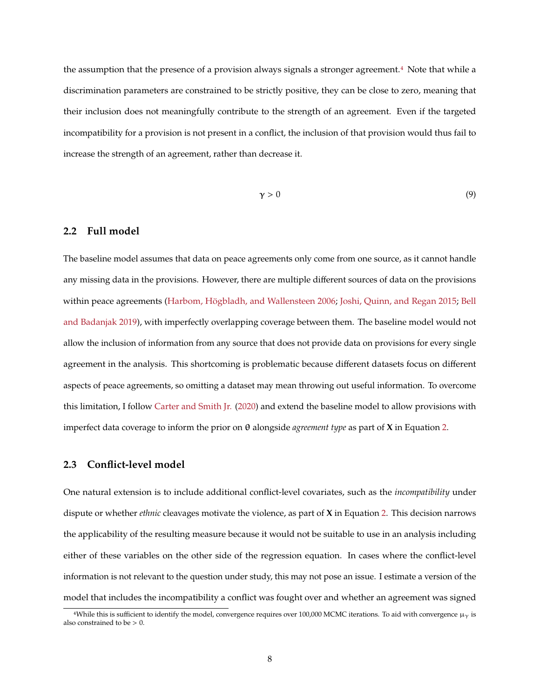the assumption that the presence of a provision always signals a stronger agreement.[4](#page-7-0) Note that while a discrimination parameters are constrained to be strictly positive, they can be close to zero, meaning that their inclusion does not meaningfully contribute to the strength of an agreement. Even if the targeted incompatibility for a provision is not present in a conflict, the inclusion of that provision would thus fail to increase the strength of an agreement, rather than decrease it.

$$
\gamma > 0 \tag{9}
$$

#### <span id="page-7-1"></span>**2.2 Full model**

The baseline model assumes that data on peace agreements only come from one source, as it cannot handle any missing data in the provisions. However, there are multiple different sources of data on the provisions within peace agreements [\(Harbom, Högbladh, and Wallensteen 2006;](#page-31-1) [Joshi, Quinn, and Regan 2015;](#page-33-2) [Bell](#page-30-0) [and Badanjak 2019\)](#page-30-0), with imperfectly overlapping coverage between them. The baseline model would not allow the inclusion of information from any source that does not provide data on provisions for every single agreement in the analysis. This shortcoming is problematic because different datasets focus on different aspects of peace agreements, so omitting a dataset may mean throwing out useful information. To overcome this limitation, I follow [Carter and Smith Jr.](#page-30-5) [\(2020\)](#page-30-5) and extend the baseline model to allow provisions with imperfect data coverage to inform the prior on θ alongside *agreement type* as part of **X** in Equation [2.](#page-5-0)

#### **2.3 Conflict-level model**

One natural extension is to include additional conflict-level covariates, such as the *incompatibility* under dispute or whether *ethnic* cleavages motivate the violence, as part of **X** in Equation [2.](#page-5-0) This decision narrows the applicability of the resulting measure because it would not be suitable to use in an analysis including either of these variables on the other side of the regression equation. In cases where the conflict-level information is not relevant to the question under study, this may not pose an issue. I estimate a version of the model that includes the incompatibility a conflict was fought over and whether an agreement was signed

<span id="page-7-0"></span><sup>&</sup>lt;sup>4</sup>While this is sufficient to identify the model, convergence requires over 100,000 MCMC iterations. To aid with convergence  $\mu_V$  is also constrained to be > 0.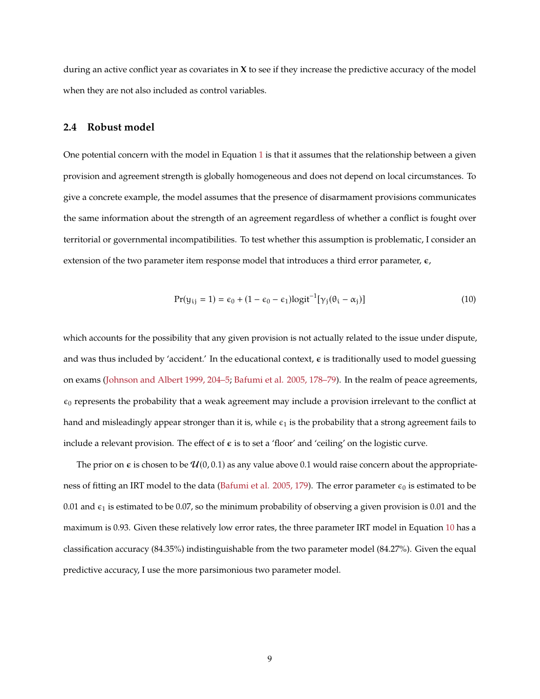during an active conflict year as covariates in **X** to see if they increase the predictive accuracy of the model when they are not also included as control variables.

#### **2.4 Robust model**

One potential concern with the model in Equation [1](#page-4-0) is that it assumes that the relationship between a given provision and agreement strength is globally homogeneous and does not depend on local circumstances. To give a concrete example, the model assumes that the presence of disarmament provisions communicates the same information about the strength of an agreement regardless of whether a conflict is fought over territorial or governmental incompatibilities. To test whether this assumption is problematic, I consider an extension of the two parameter item response model that introduces a third error parameter,  $\epsilon$ ,

<span id="page-8-0"></span>
$$
Pr(y_{ij} = 1) = \epsilon_0 + (1 - \epsilon_0 - \epsilon_1) \logit^{-1}[\gamma_j(\theta_i - \alpha_j)]
$$
\n(10)

which accounts for the possibility that any given provision is not actually related to the issue under dispute, and was thus included by 'accident.' In the educational context,  $\epsilon$  is traditionally used to model guessing on exams [\(Johnson and Albert 1999, 204–5;](#page-32-7) [Bafumi et al. 2005, 178–79\)](#page-30-4). In the realm of peace agreements,  $\epsilon_0$  represents the probability that a weak agreement may include a provision irrelevant to the conflict at hand and misleadingly appear stronger than it is, while  $\epsilon_1$  is the probability that a strong agreement fails to include a relevant provision. The effect of  $\epsilon$  is to set a 'floor' and 'ceiling' on the logistic curve.

The prior on  $\epsilon$  is chosen to be  $\mathcal{U}(0,0.1)$  as any value above 0.1 would raise concern about the appropriate-ness of fitting an IRT model to the data [\(Bafumi et al. 2005, 179\)](#page-30-4). The error parameter  $\epsilon_0$  is estimated to be 0.01 and  $\epsilon_1$  is estimated to be 0.07, so the minimum probability of observing a given provision is 0.01 and the maximum is 0.93. Given these relatively low error rates, the three parameter IRT model in Equation [10](#page-8-0) has a classification accuracy (84.35%) indistinguishable from the two parameter model (84.27%). Given the equal predictive accuracy, I use the more parsimonious two parameter model.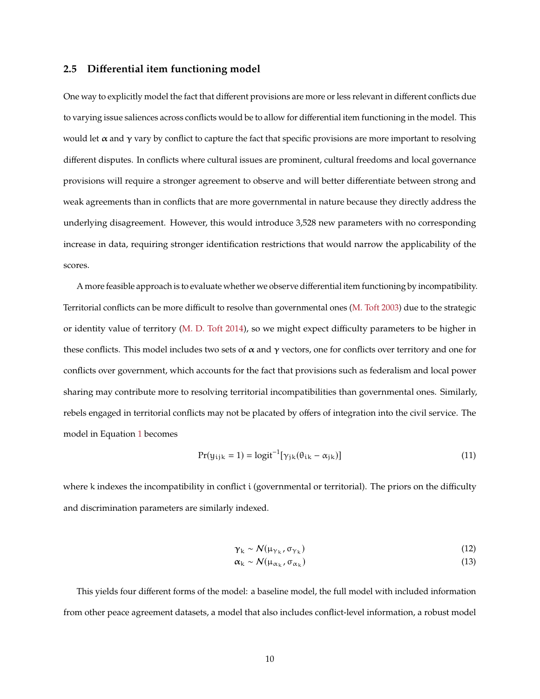#### **2.5 Differential item functioning model**

One way to explicitly model the fact that different provisions are more or less relevant in different conflicts due to varying issue saliences across conflicts would be to allow for differential item functioning in the model. This would let  $\alpha$  and  $\gamma$  vary by conflict to capture the fact that specific provisions are more important to resolving different disputes. In conflicts where cultural issues are prominent, cultural freedoms and local governance provisions will require a stronger agreement to observe and will better differentiate between strong and weak agreements than in conflicts that are more governmental in nature because they directly address the underlying disagreement. However, this would introduce 3,528 new parameters with no corresponding increase in data, requiring stronger identification restrictions that would narrow the applicability of the scores.

A more feasible approach is to evaluate whether we observe differential item functioning by incompatibility. Territorial conflicts can be more difficult to resolve than governmental ones [\(M. Toft 2003\)](#page-35-3) due to the strategic or identity value of territory [\(M. D. Toft 2014\)](#page-35-4), so we might expect difficulty parameters to be higher in these conflicts. This model includes two sets of  $\alpha$  and  $\gamma$  vectors, one for conflicts over territory and one for conflicts over government, which accounts for the fact that provisions such as federalism and local power sharing may contribute more to resolving territorial incompatibilities than governmental ones. Similarly, rebels engaged in territorial conflicts may not be placated by offers of integration into the civil service. The model in Equation [1](#page-4-0) becomes

<span id="page-9-0"></span>
$$
Pr(y_{ijk} = 1) = logit^{-1}[\gamma_{jk}(\theta_{ik} - \alpha_{jk})]
$$
\n(11)

where k indexes the incompatibility in conflict i (governmental or territorial). The priors on the difficulty and discrimination parameters are similarly indexed.

$$
\gamma_{k} \sim \mathcal{N}(\mu_{\gamma_{k}}, \sigma_{\gamma_{k}}) \tag{12}
$$

$$
\alpha_{k} \sim \mathcal{N}(\mu_{\alpha_{k}}, \sigma_{\alpha_{k}}) \tag{13}
$$

This yields four different forms of the model: a baseline model, the full model with included information from other peace agreement datasets, a model that also includes conflict-level information, a robust model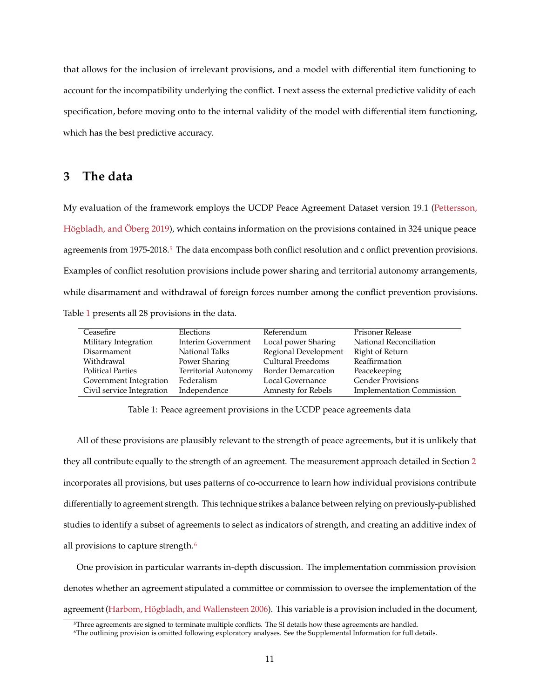that allows for the inclusion of irrelevant provisions, and a model with differential item functioning to account for the incompatibility underlying the conflict. I next assess the external predictive validity of each specification, before moving onto to the internal validity of the model with differential item functioning, which has the best predictive accuracy.

## **3 The data**

My evaluation of the framework employs the UCDP Peace Agreement Dataset version 19.1 [\(Pettersson,](#page-33-5) [Högbladh, and Öberg 2019\)](#page-33-5), which contains information on the provisions contained in 324 unique peace agreements from 197[5](#page-10-0)-2018.<sup>5</sup> The data encompass both conflict resolution and c onflict prevention provisions. Examples of conflict resolution provisions include power sharing and territorial autonomy arrangements, while disarmament and withdrawal of foreign forces number among the conflict prevention provisions. Table [1](#page-10-1) presents all 28 provisions in the data.

<span id="page-10-1"></span>

| Ceasefire                 | Elections                   | Referendum                | Prisoner Release                 |
|---------------------------|-----------------------------|---------------------------|----------------------------------|
| Military Integration      | Interim Government          | Local power Sharing       | National Reconciliation          |
| Disarmament               | National Talks              | Regional Development      | Right of Return                  |
| Withdrawal                | Power Sharing               | Cultural Freedoms         | Reaffirmation                    |
| <b>Political Parties</b>  | <b>Territorial Autonomy</b> | <b>Border Demarcation</b> | Peacekeeping                     |
| Government Integration    | Federalism                  | Local Governance          | <b>Gender Provisions</b>         |
| Civil service Integration | Independence                | Amnesty for Rebels        | <b>Implementation Commission</b> |

Table 1: Peace agreement provisions in the UCDP peace agreements data

All of these provisions are plausibly relevant to the strength of peace agreements, but it is unlikely that they all contribute equally to the strength of an agreement. The measurement approach detailed in Section [2](#page-4-1) incorporates all provisions, but uses patterns of co-occurrence to learn how individual provisions contribute differentially to agreement strength. This technique strikes a balance between relying on previously-published studies to identify a subset of agreements to select as indicators of strength, and creating an additive index of all provisions to capture strength.<sup>[6](#page-10-2)</sup>

One provision in particular warrants in-depth discussion. The implementation commission provision denotes whether an agreement stipulated a committee or commission to oversee the implementation of the agreement [\(Harbom, Högbladh, and Wallensteen 2006\)](#page-31-1). This variable is a provision included in the document,

<span id="page-10-0"></span><sup>5</sup>Three agreements are signed to terminate multiple conflicts. The SI details how these agreements are handled.

<span id="page-10-2"></span><sup>6</sup>The outlining provision is omitted following exploratory analyses. See the Supplemental Information for full details.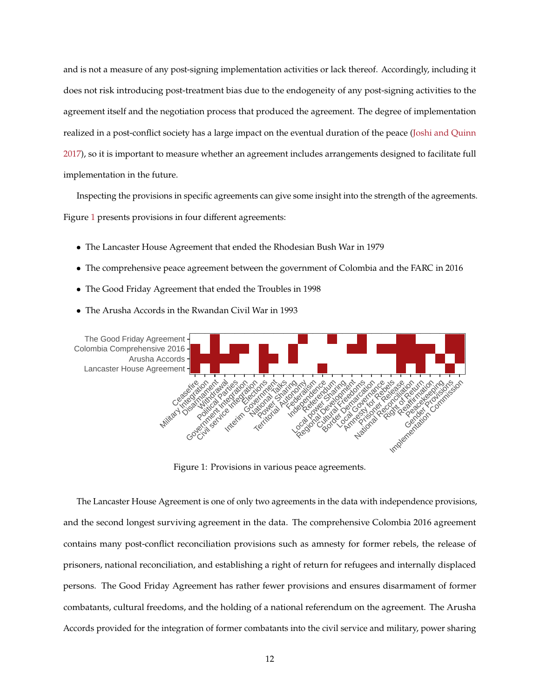and is not a measure of any post-signing implementation activities or lack thereof. Accordingly, including it does not risk introducing post-treatment bias due to the endogeneity of any post-signing activities to the agreement itself and the negotiation process that produced the agreement. The degree of implementation realized in a post-conflict society has a large impact on the eventual duration of the peace [\(Joshi and Quinn](#page-32-6) [2017\)](#page-32-6), so it is important to measure whether an agreement includes arrangements designed to facilitate full implementation in the future.

Inspecting the provisions in specific agreements can give some insight into the strength of the agreements. Figure [1](#page-11-0) presents provisions in four different agreements:

- The Lancaster House Agreement that ended the Rhodesian Bush War in 1979
- The comprehensive peace agreement between the government of Colombia and the FARC in 2016
- The Good Friday Agreement that ended the Troubles in 1998
- The Arusha Accords in the Rwandan Civil War in 1993

<span id="page-11-0"></span>

Figure 1: Provisions in various peace agreements.

The Lancaster House Agreement is one of only two agreements in the data with independence provisions, and the second longest surviving agreement in the data. The comprehensive Colombia 2016 agreement contains many post-conflict reconciliation provisions such as amnesty for former rebels, the release of prisoners, national reconciliation, and establishing a right of return for refugees and internally displaced persons. The Good Friday Agreement has rather fewer provisions and ensures disarmament of former combatants, cultural freedoms, and the holding of a national referendum on the agreement. The Arusha Accords provided for the integration of former combatants into the civil service and military, power sharing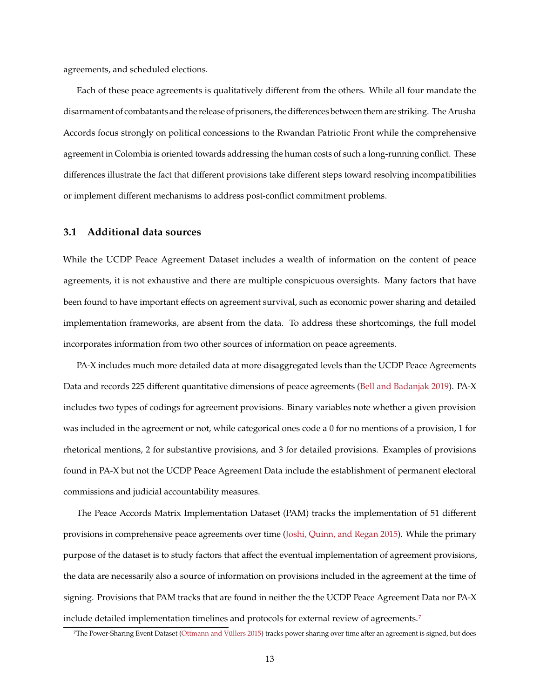agreements, and scheduled elections.

Each of these peace agreements is qualitatively different from the others. While all four mandate the disarmament of combatants and the release of prisoners, the differences between them are striking. The Arusha Accords focus strongly on political concessions to the Rwandan Patriotic Front while the comprehensive agreement in Colombia is oriented towards addressing the human costs of such a long-running conflict. These differences illustrate the fact that different provisions take different steps toward resolving incompatibilities or implement different mechanisms to address post-conflict commitment problems.

### <span id="page-12-1"></span>**3.1 Additional data sources**

While the UCDP Peace Agreement Dataset includes a wealth of information on the content of peace agreements, it is not exhaustive and there are multiple conspicuous oversights. Many factors that have been found to have important effects on agreement survival, such as economic power sharing and detailed implementation frameworks, are absent from the data. To address these shortcomings, the full model incorporates information from two other sources of information on peace agreements.

PA-X includes much more detailed data at more disaggregated levels than the UCDP Peace Agreements Data and records 225 different quantitative dimensions of peace agreements [\(Bell and Badanjak 2019\)](#page-30-0). PA-X includes two types of codings for agreement provisions. Binary variables note whether a given provision was included in the agreement or not, while categorical ones code a 0 for no mentions of a provision, 1 for rhetorical mentions, 2 for substantive provisions, and 3 for detailed provisions. Examples of provisions found in PA-X but not the UCDP Peace Agreement Data include the establishment of permanent electoral commissions and judicial accountability measures.

The Peace Accords Matrix Implementation Dataset (PAM) tracks the implementation of 51 different provisions in comprehensive peace agreements over time [\(Joshi, Quinn, and Regan 2015\)](#page-33-2). While the primary purpose of the dataset is to study factors that affect the eventual implementation of agreement provisions, the data are necessarily also a source of information on provisions included in the agreement at the time of signing. Provisions that PAM tracks that are found in neither the the UCDP Peace Agreement Data nor PA-X include detailed implementation timelines and protocols for external review of agreements.[7](#page-12-0)

<span id="page-12-0"></span><sup>7</sup>The Power-Sharing Event Dataset [\(Ottmann and Vüllers 2015\)](#page-33-4) tracks power sharing over time after an agreement is signed, but does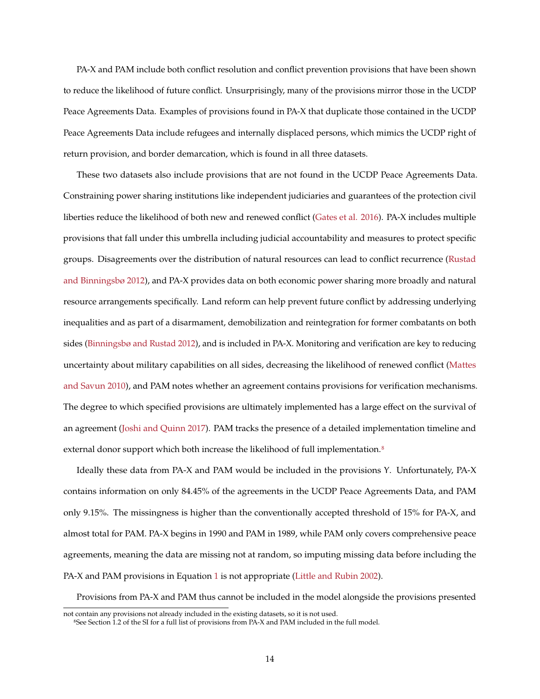PA-X and PAM include both conflict resolution and conflict prevention provisions that have been shown to reduce the likelihood of future conflict. Unsurprisingly, many of the provisions mirror those in the UCDP Peace Agreements Data. Examples of provisions found in PA-X that duplicate those contained in the UCDP Peace Agreements Data include refugees and internally displaced persons, which mimics the UCDP right of return provision, and border demarcation, which is found in all three datasets.

These two datasets also include provisions that are not found in the UCDP Peace Agreements Data. Constraining power sharing institutions like independent judiciaries and guarantees of the protection civil liberties reduce the likelihood of both new and renewed conflict [\(Gates et al. 2016\)](#page-31-3). PA-X includes multiple provisions that fall under this umbrella including judicial accountability and measures to protect specific groups. Disagreements over the distribution of natural resources can lead to conflict recurrence [\(Rustad](#page-34-8) [and Binningsbø 2012\)](#page-34-8), and PA-X provides data on both economic power sharing more broadly and natural resource arrangements specifically. Land reform can help prevent future conflict by addressing underlying inequalities and as part of a disarmament, demobilization and reintegration for former combatants on both sides [\(Binningsbø and Rustad 2012\)](#page-30-6), and is included in PA-X. Monitoring and verification are key to reducing uncertainty about military capabilities on all sides, decreasing the likelihood of renewed conflict [\(Mattes](#page-33-6) [and Savun 2010\)](#page-33-6), and PAM notes whether an agreement contains provisions for verification mechanisms. The degree to which specified provisions are ultimately implemented has a large effect on the survival of an agreement [\(Joshi and Quinn 2017\)](#page-32-6). PAM tracks the presence of a detailed implementation timeline and external donor support which both increase the likelihood of full implementation.<sup>[8](#page-13-0)</sup>

Ideally these data from PA-X and PAM would be included in the provisions Y. Unfortunately, PA-X contains information on only 84.45% of the agreements in the UCDP Peace Agreements Data, and PAM only 9.15%. The missingness is higher than the conventionally accepted threshold of 15% for PA-X, and almost total for PAM. PA-X begins in 1990 and PAM in 1989, while PAM only covers comprehensive peace agreements, meaning the data are missing not at random, so imputing missing data before including the PA-X and PAM provisions in Equation [1](#page-4-0) is not appropriate [\(Little and Rubin 2002\)](#page-33-7).

Provisions from PA-X and PAM thus cannot be included in the model alongside the provisions presented

not contain any provisions not already included in the existing datasets, so it is not used.

<span id="page-13-0"></span><sup>8</sup>See Section 1.2 of the SI for a full list of provisions from PA-X and PAM included in the full model.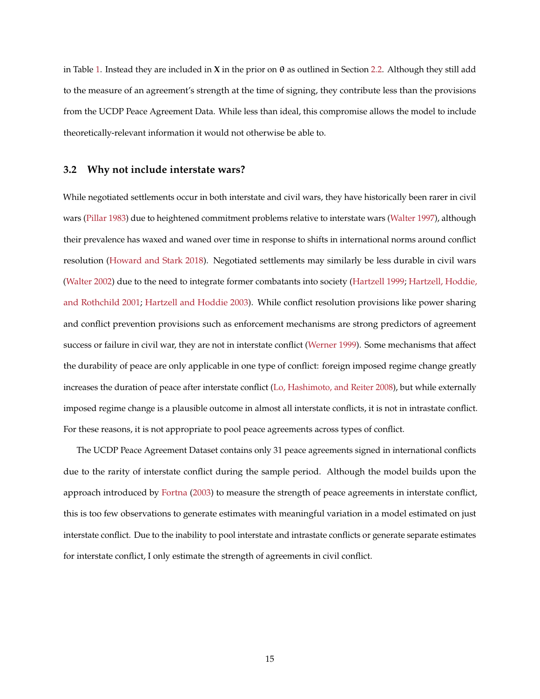in Table [1.](#page-10-1) Instead they are included in **X** in the prior on θ as outlined in Section [2.2.](#page-7-1) Although they still add to the measure of an agreement's strength at the time of signing, they contribute less than the provisions from the UCDP Peace Agreement Data. While less than ideal, this compromise allows the model to include theoretically-relevant information it would not otherwise be able to.

### **3.2 Why not include interstate wars?**

While negotiated settlements occur in both interstate and civil wars, they have historically been rarer in civil wars [\(Pillar 1983\)](#page-34-9) due to heightened commitment problems relative to interstate wars [\(Walter 1997\)](#page-35-5), although their prevalence has waxed and waned over time in response to shifts in international norms around conflict resolution [\(Howard and Stark 2018\)](#page-32-8). Negotiated settlements may similarly be less durable in civil wars [\(Walter 2002\)](#page-35-6) due to the need to integrate former combatants into society [\(Hartzell 1999;](#page-32-9) [Hartzell, Hoddie,](#page-32-0) [and Rothchild 2001;](#page-32-0) [Hartzell and Hoddie 2003\)](#page-32-1). While conflict resolution provisions like power sharing and conflict prevention provisions such as enforcement mechanisms are strong predictors of agreement success or failure in civil war, they are not in interstate conflict [\(Werner 1999\)](#page-35-7). Some mechanisms that affect the durability of peace are only applicable in one type of conflict: foreign imposed regime change greatly increases the duration of peace after interstate conflict [\(Lo, Hashimoto, and Reiter 2008\)](#page-33-8), but while externally imposed regime change is a plausible outcome in almost all interstate conflicts, it is not in intrastate conflict. For these reasons, it is not appropriate to pool peace agreements across types of conflict.

The UCDP Peace Agreement Dataset contains only 31 peace agreements signed in international conflicts due to the rarity of interstate conflict during the sample period. Although the model builds upon the approach introduced by [Fortna](#page-31-0) [\(2003\)](#page-31-0) to measure the strength of peace agreements in interstate conflict, this is too few observations to generate estimates with meaningful variation in a model estimated on just interstate conflict. Due to the inability to pool interstate and intrastate conflicts or generate separate estimates for interstate conflict, I only estimate the strength of agreements in civil conflict.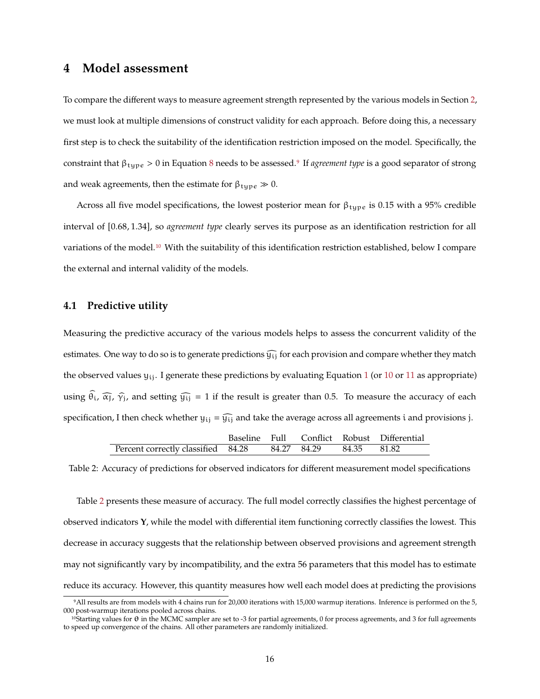## <span id="page-15-3"></span>**4 Model assessment**

To compare the different ways to measure agreement strength represented by the various models in Section [2,](#page-4-1) we must look at multiple dimensions of construct validity for each approach. Before doing this, a necessary first step is to check the suitability of the identification restriction imposed on the model. Specifically, the constraint that βtype > 0 in Equation [8](#page-6-1) needs to be assessed.[9](#page-15-0) If *agreement type* is a good separator of strong and weak agreements, then the estimate for  $\beta_{\text{type}} \gg 0$ .

Across all five model specifications, the lowest posterior mean for  $\beta_{\text{type}}$  is 0.15 with a 95% credible interval of [0.68, <sup>1</sup>.34], so *agreement type* clearly serves its purpose as an identification restriction for all variations of the model.[10](#page-15-1) With the suitability of this identification restriction established, below I compare the external and internal validity of the models.

#### **4.1 Predictive utility**

Measuring the predictive accuracy of the various models helps to assess the concurrent validity of the estimates. One way to do so is to generate predictions  $\widehat{y_{ij}}$  for each provision and compare whether they match the observed values  $y_{ii}$ . I generate these predictions by evaluating Equation [1](#page-4-0) (or [10](#page-8-0) or [11](#page-9-0) as appropriate) using  $\hat{\theta}_i$ ,  $\hat{\alpha}_j$ ,  $\hat{\gamma}_j$ , and setting  $\hat{y}_{ij} = 1$  if the result is greater than 0.5. To measure the accuracy of each specification, I then check whether  $y_{ij} = \widehat{y_{ij}}$  and take the average across all agreements i and provisions j.

|                                    |  |                         | Baseline Full Conflict Robust Differential |
|------------------------------------|--|-------------------------|--------------------------------------------|
| Percent correctly classified 84.28 |  | 84.27 84.29 84.35 81.82 |                                            |

<span id="page-15-2"></span>Table 2: Accuracy of predictions for observed indicators for different measurement model specifications

Table [2](#page-15-2) presents these measure of accuracy. The full model correctly classifies the highest percentage of observed indicators **Y**, while the model with differential item functioning correctly classifies the lowest. This decrease in accuracy suggests that the relationship between observed provisions and agreement strength may not significantly vary by incompatibility, and the extra 56 parameters that this model has to estimate reduce its accuracy. However, this quantity measures how well each model does at predicting the provisions

<span id="page-15-0"></span><sup>9</sup>All results are from models with 4 chains run for 20,000 iterations with 15,000 warmup iterations. Inference is performed on the 5, 000 post-warmup iterations pooled across chains.

<span id="page-15-1"></span><sup>&</sup>lt;sup>10</sup>Starting values for θ in the MCMC sampler are set to -3 for partial agreements, 0 for process agreements, and 3 for full agreements to speed up convergence of the chains. All other parameters are randomly initialized.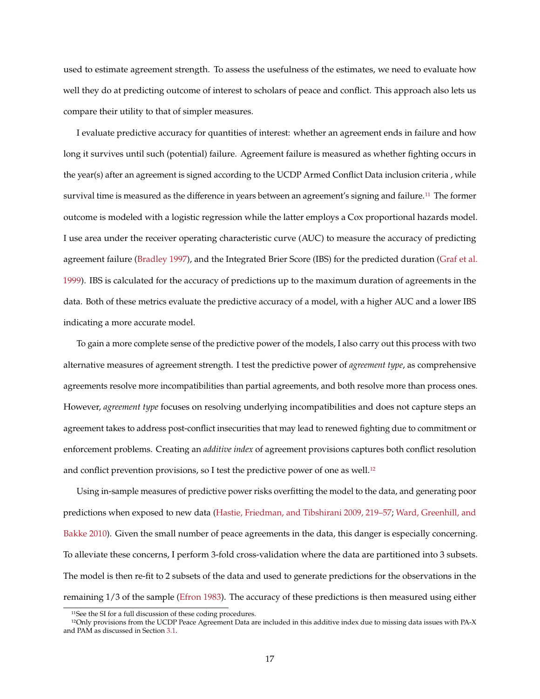used to estimate agreement strength. To assess the usefulness of the estimates, we need to evaluate how well they do at predicting outcome of interest to scholars of peace and conflict. This approach also lets us compare their utility to that of simpler measures.

I evaluate predictive accuracy for quantities of interest: whether an agreement ends in failure and how long it survives until such (potential) failure. Agreement failure is measured as whether fighting occurs in the year(s) after an agreement is signed according to the UCDP Armed Conflict Data inclusion criteria , while survival time is measured as the difference in years between an agreement's signing and failure.[11](#page-16-0) The former outcome is modeled with a logistic regression while the latter employs a Cox proportional hazards model. I use area under the receiver operating characteristic curve (AUC) to measure the accuracy of predicting agreement failure [\(Bradley 1997\)](#page-30-7), and the Integrated Brier Score (IBS) for the predicted duration [\(Graf et al.](#page-31-4) [1999\)](#page-31-4). IBS is calculated for the accuracy of predictions up to the maximum duration of agreements in the data. Both of these metrics evaluate the predictive accuracy of a model, with a higher AUC and a lower IBS indicating a more accurate model.

To gain a more complete sense of the predictive power of the models, I also carry out this process with two alternative measures of agreement strength. I test the predictive power of *agreement type*, as comprehensive agreements resolve more incompatibilities than partial agreements, and both resolve more than process ones. However, *agreement type* focuses on resolving underlying incompatibilities and does not capture steps an agreement takes to address post-conflict insecurities that may lead to renewed fighting due to commitment or enforcement problems. Creating an *additive index* of agreement provisions captures both conflict resolution and conflict prevention provisions, so I test the predictive power of one as well.[12](#page-16-1)

Using in-sample measures of predictive power risks overfitting the model to the data, and generating poor predictions when exposed to new data [\(Hastie, Friedman, and Tibshirani 2009, 219–57;](#page-32-10) [Ward, Greenhill, and](#page-35-8) [Bakke 2010\)](#page-35-8). Given the small number of peace agreements in the data, this danger is especially concerning. To alleviate these concerns, I perform 3-fold cross-validation where the data are partitioned into 3 subsets. The model is then re-fit to 2 subsets of the data and used to generate predictions for the observations in the remaining 1/3 of the sample [\(Efron 1983\)](#page-31-5). The accuracy of these predictions is then measured using either

<span id="page-16-1"></span><span id="page-16-0"></span><sup>&</sup>lt;sup>11</sup>See the SI for a full discussion of these coding procedures.

<sup>12</sup>Only provisions from the UCDP Peace Agreement Data are included in this additive index due to missing data issues with PA-X and PAM as discussed in Section [3.1.](#page-12-1)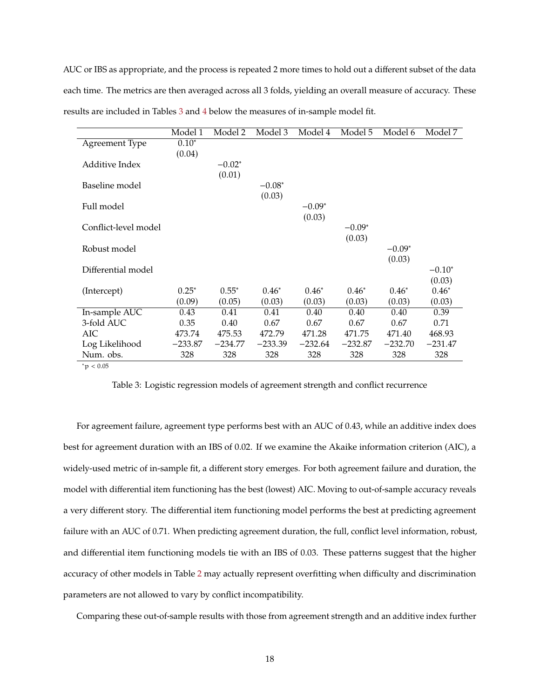AUC or IBS as appropriate, and the process is repeated 2 more times to hold out a different subset of the data each time. The metrics are then averaged across all 3 folds, yielding an overall measure of accuracy. These results are included in Tables [3](#page-17-0) and [4](#page-18-0) below the measures of in-sample model fit.

<span id="page-17-0"></span>

|                      | Model 1   | Model 2   | Model 3   | Model 4   | Model 5   | Model 6   | Model 7   |
|----------------------|-----------|-----------|-----------|-----------|-----------|-----------|-----------|
| Agreement Type       | $0.10*$   |           |           |           |           |           |           |
|                      | (0.04)    |           |           |           |           |           |           |
| Additive Index       |           | $-0.02*$  |           |           |           |           |           |
|                      |           | (0.01)    |           |           |           |           |           |
| Baseline model       |           |           | $-0.08*$  |           |           |           |           |
|                      |           |           | (0.03)    |           |           |           |           |
| Full model           |           |           |           | $-0.09*$  |           |           |           |
|                      |           |           |           | (0.03)    |           |           |           |
| Conflict-level model |           |           |           |           | $-0.09*$  |           |           |
|                      |           |           |           |           | (0.03)    |           |           |
| Robust model         |           |           |           |           |           | $-0.09*$  |           |
|                      |           |           |           |           |           | (0.03)    |           |
| Differential model   |           |           |           |           |           |           | $-0.10*$  |
|                      |           |           |           |           |           |           | (0.03)    |
| (Intercept)          | $0.25*$   | $0.55*$   | $0.46*$   | $0.46*$   | $0.46*$   | $0.46*$   | $0.46*$   |
|                      | (0.09)    | (0.05)    | (0.03)    | (0.03)    | (0.03)    | (0.03)    | (0.03)    |
| In-sample AUC        | 0.43      | 0.41      | 0.41      | 0.40      | 0.40      | 0.40      | 0.39      |
| 3-fold AUC           | 0.35      | 0.40      | 0.67      | 0.67      | 0.67      | 0.67      | 0.71      |
| AIC                  | 473.74    | 475.53    | 472.79    | 471.28    | 471.75    | 471.40    | 468.93    |
| Log Likelihood       | $-233.87$ | $-234.77$ | $-233.39$ | $-232.64$ | $-232.87$ | $-232.70$ | $-231.47$ |
| Num. obs.            | 328       | 328       | 328       | 328       | 328       | 328       | 328       |
| $^*p < 0.05$         |           |           |           |           |           |           |           |

Table 3: Logistic regression models of agreement strength and conflict recurrence

For agreement failure, agreement type performs best with an AUC of 0.43, while an additive index does best for agreement duration with an IBS of 0.02. If we examine the Akaike information criterion (AIC), a widely-used metric of in-sample fit, a different story emerges. For both agreement failure and duration, the model with differential item functioning has the best (lowest) AIC. Moving to out-of-sample accuracy reveals a very different story. The differential item functioning model performs the best at predicting agreement failure with an AUC of 0.71. When predicting agreement duration, the full, conflict level information, robust, and differential item functioning models tie with an IBS of 0.03. These patterns suggest that the higher accuracy of other models in Table [2](#page-15-2) may actually represent overfitting when difficulty and discrimination parameters are not allowed to vary by conflict incompatibility.

Comparing these out-of-sample results with those from agreement strength and an additive index further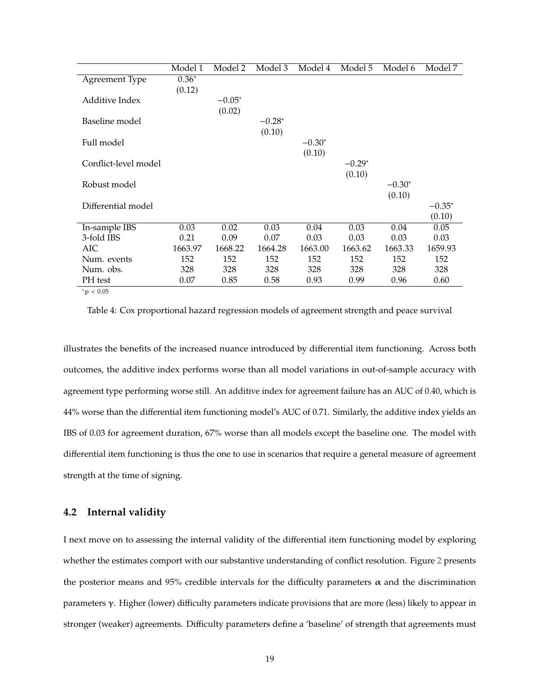<span id="page-18-0"></span>

|                          | Model 1 | Model 2  | Model 3  | Model 4  | Model 5  | Model 6  | Model 7   |
|--------------------------|---------|----------|----------|----------|----------|----------|-----------|
| Agreement Type           | $0.36*$ |          |          |          |          |          |           |
|                          | (0.12)  |          |          |          |          |          |           |
| Additive Index           |         | $-0.05*$ |          |          |          |          |           |
|                          |         | (0.02)   |          |          |          |          |           |
| Baseline model           |         |          | $-0.28*$ |          |          |          |           |
|                          |         |          | (0.10)   |          |          |          |           |
| Full model               |         |          |          | $-0.30*$ |          |          |           |
|                          |         |          |          | (0.10)   |          |          |           |
| Conflict-level model     |         |          |          |          | $-0.29*$ |          |           |
|                          |         |          |          |          | (0.10)   |          |           |
| Robust model             |         |          |          |          |          | $-0.30*$ |           |
|                          |         |          |          |          |          | (0.10)   |           |
| Differential model       |         |          |          |          |          |          | $-0.35^*$ |
|                          |         |          |          |          |          |          | (0.10)    |
| In-sample IBS            | 0.03    | 0.02     | 0.03     | 0.04     | 0.03     | 0.04     | 0.05      |
| 3-fold IBS               | 0.21    | 0.09     | 0.07     | 0.03     | 0.03     | 0.03     | 0.03      |
| AIC                      | 1663.97 | 1668.22  | 1664.28  | 1663.00  | 1663.62  | 1663.33  | 1659.93   |
| Num. events              | 152     | 152      | 152      | 152      | 152      | 152      | 152       |
| Num. obs.                | 328     | 328      | 328      | 328      | 328      | 328      | 328       |
| PH test                  | 0.07    | 0.85     | 0.58     | 0.93     | 0.99     | 0.96     | 0.60      |
| $*_{\infty}$ $\geq$ 0.05 |         |          |          |          |          |          |           |

 $p < 0.05$ 

Table 4: Cox proportional hazard regression models of agreement strength and peace survival

illustrates the benefits of the increased nuance introduced by differential item functioning. Across both outcomes, the additive index performs worse than all model variations in out-of-sample accuracy with agreement type performing worse still. An additive index for agreement failure has an AUC of 0.40, which is 44% worse than the differential item functioning model's AUC of 0.71. Similarly, the additive index yields an IBS of 0.03 for agreement duration, 67% worse than all models except the baseline one. The model with differential item functioning is thus the one to use in scenarios that require a general measure of agreement strength at the time of signing.

### **4.2 Internal validity**

I next move on to assessing the internal validity of the differential item functioning model by exploring whether the estimates comport with our substantive understanding of conflict resolution. Figure [2](#page-19-0) presents the posterior means and 95% credible intervals for the difficulty parameters  $\alpha$  and the discrimination parameters γ. Higher (lower) difficulty parameters indicate provisions that are more (less) likely to appear in stronger (weaker) agreements. Difficulty parameters define a 'baseline' of strength that agreements must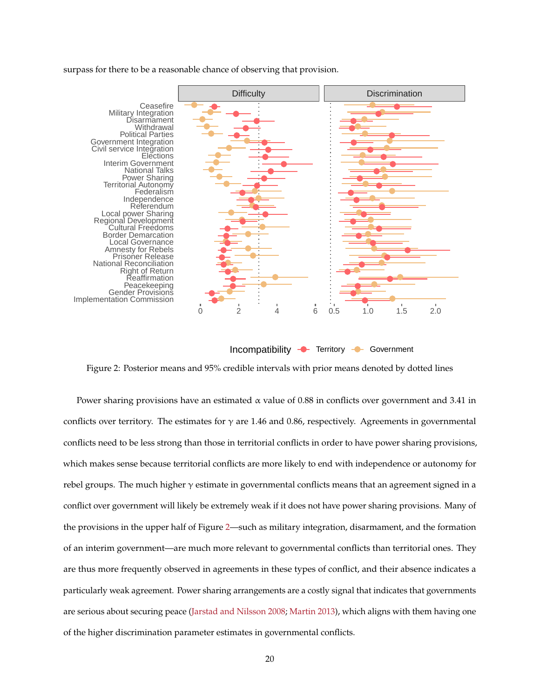#### surpass for there to be a reasonable chance of observing that provision.

<span id="page-19-0"></span>

Incompatibility **-** Territory - Government

Figure 2: Posterior means and 95% credible intervals with prior means denoted by dotted lines

Power sharing provisions have an estimated  $\alpha$  value of 0.88 in conflicts over government and 3.41 in conflicts over territory. The estimates for  $\gamma$  are 1.46 and 0.86, respectively. Agreements in governmental conflicts need to be less strong than those in territorial conflicts in order to have power sharing provisions, which makes sense because territorial conflicts are more likely to end with independence or autonomy for rebel groups. The much higher  $\gamma$  estimate in governmental conflicts means that an agreement signed in a conflict over government will likely be extremely weak if it does not have power sharing provisions. Many of the provisions in the upper half of Figure [2—](#page-19-0)such as military integration, disarmament, and the formation of an interim government—are much more relevant to governmental conflicts than territorial ones. They are thus more frequently observed in agreements in these types of conflict, and their absence indicates a particularly weak agreement. Power sharing arrangements are a costly signal that indicates that governments are serious about securing peace [\(Jarstad and Nilsson 2008;](#page-32-5) [Martin 2013\)](#page-33-9), which aligns with them having one of the higher discrimination parameter estimates in governmental conflicts.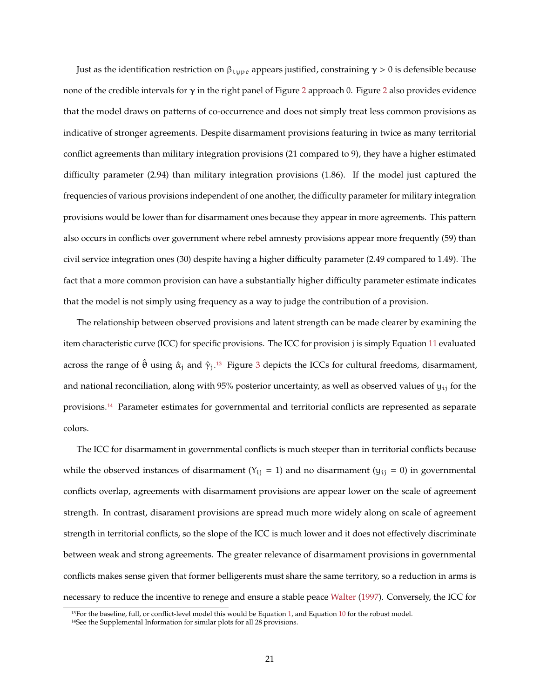Just as the identification restriction on  $\beta_{\text{tuple}}$  appears justified, constraining  $\gamma > 0$  is defensible because none of the credible intervals for  $γ$  in the right panel of Figure [2](#page-19-0) approach 0. Figure 2 also provides evidence that the model draws on patterns of co-occurrence and does not simply treat less common provisions as indicative of stronger agreements. Despite disarmament provisions featuring in twice as many territorial conflict agreements than military integration provisions (21 compared to 9), they have a higher estimated difficulty parameter (2.94) than military integration provisions (1.86). If the model just captured the frequencies of various provisions independent of one another, the difficulty parameter for military integration provisions would be lower than for disarmament ones because they appear in more agreements. This pattern also occurs in conflicts over government where rebel amnesty provisions appear more frequently (59) than civil service integration ones (30) despite having a higher difficulty parameter (2.49 compared to 1.49). The fact that a more common provision can have a substantially higher difficulty parameter estimate indicates that the model is not simply using frequency as a way to judge the contribution of a provision.

The relationship between observed provisions and latent strength can be made clearer by examining the item characteristic curve (ICC) for specific provisions. The ICC for provision j is simply Equation [11](#page-9-0) evaluated across the range of  $\hat{\theta}$  using  $\hat{\alpha}_i$  and  $\hat{\gamma}_i$ .<sup>[13](#page-20-0)</sup> Figure [3](#page-21-0) depicts the ICCs for cultural freedoms, disarmament, and national reconciliation, along with 95% posterior uncertainty, as well as observed values of  $y_{ij}$  for the provisions.[14](#page-20-1) Parameter estimates for governmental and territorial conflicts are represented as separate colors.

The ICC for disarmament in governmental conflicts is much steeper than in territorial conflicts because while the observed instances of disarmament ( $Y_{ij} = 1$ ) and no disarmament ( $y_{ij} = 0$ ) in governmental conflicts overlap, agreements with disarmament provisions are appear lower on the scale of agreement strength. In contrast, disarament provisions are spread much more widely along on scale of agreement strength in territorial conflicts, so the slope of the ICC is much lower and it does not effectively discriminate between weak and strong agreements. The greater relevance of disarmament provisions in governmental conflicts makes sense given that former belligerents must share the same territory, so a reduction in arms is necessary to reduce the incentive to renege and ensure a stable peace [Walter](#page-35-5) [\(1997\)](#page-35-5). Conversely, the ICC for

<span id="page-20-0"></span><sup>&</sup>lt;sup>13</sup>For the baseline, full, or conflict-level model this would be Equation [1,](#page-4-0) and Equation [10](#page-8-0) for the robust model.

<span id="page-20-1"></span><sup>&</sup>lt;sup>14</sup>See the Supplemental Information for similar plots for all 28 provisions.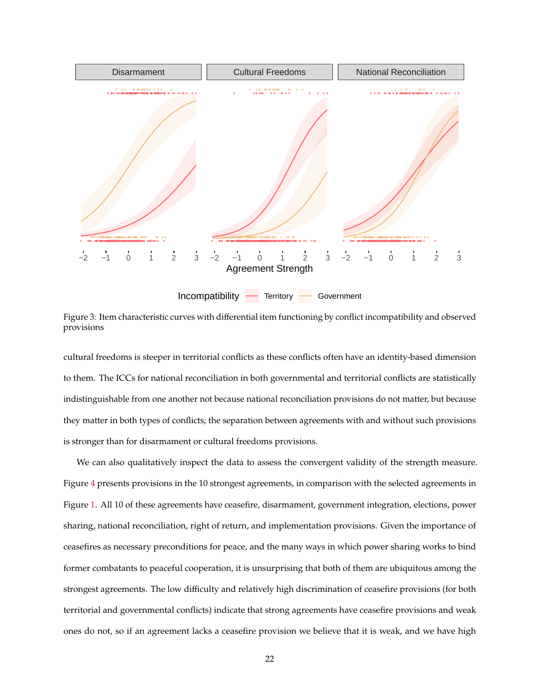<span id="page-21-0"></span>

Figure 3: Item characteristic curves with differential item functioning by conflict incompatibility and observed provisions

cultural freedoms is steeper in territorial conflicts as these conflicts often have an identity-based dimension to them. The ICCs for national reconciliation in both governmental and territorial conflicts are statistically indistinguishable from one another not because national reconciliation provisions do not matter, but because they matter in both types of conflicts; the separation between agreements with and without such provisions is stronger than for disarmament or cultural freedoms provisions.

We can also qualitatively inspect the data to assess the convergent validity of the strength measure. Figure [4](#page-22-0) presents provisions in the 10 strongest agreements, in comparison with the selected agreements in Figure [1.](#page-11-0) All 10 of these agreements have ceasefire, disarmament, government integration, elections, power sharing, national reconciliation, right of return, and implementation provisions. Given the importance of ceasefires as necessary preconditions for peace, and the many ways in which power sharing works to bind former combatants to peaceful cooperation, it is unsurprising that both of them are ubiquitous among the strongest agreements. The low difficulty and relatively high discrimination of ceasefire provisions (for both territorial and governmental conflicts) indicate that strong agreements have ceasefire provisions and weak ones do not, so if an agreement lacks a ceasefire provision we believe that it is weak, and we have high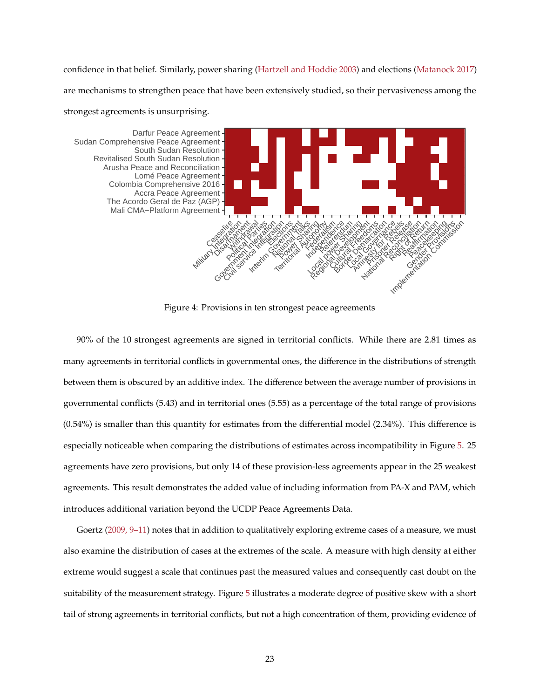confidence in that belief. Similarly, power sharing [\(Hartzell and Hoddie 2003\)](#page-32-1) and elections [\(Matanock 2017\)](#page-33-0) are mechanisms to strengthen peace that have been extensively studied, so their pervasiveness among the strongest agreements is unsurprising.

<span id="page-22-0"></span>

Figure 4: Provisions in ten strongest peace agreements

90% of the 10 strongest agreements are signed in territorial conflicts. While there are 2.81 times as many agreements in territorial conflicts in governmental ones, the difference in the distributions of strength between them is obscured by an additive index. The difference between the average number of provisions in governmental conflicts (5.43) and in territorial ones (5.55) as a percentage of the total range of provisions (0.54%) is smaller than this quantity for estimates from the differential model (2.34%). This difference is especially noticeable when comparing the distributions of estimates across incompatibility in Figure [5.](#page-23-0) 25 agreements have zero provisions, but only 14 of these provision-less agreements appear in the 25 weakest agreements. This result demonstrates the added value of including information from PA-X and PAM, which introduces additional variation beyond the UCDP Peace Agreements Data.

Goertz [\(2009, 9–11\)](#page-31-6) notes that in addition to qualitatively exploring extreme cases of a measure, we must also examine the distribution of cases at the extremes of the scale. A measure with high density at either extreme would suggest a scale that continues past the measured values and consequently cast doubt on the suitability of the measurement strategy. Figure [5](#page-23-0) illustrates a moderate degree of positive skew with a short tail of strong agreements in territorial conflicts, but not a high concentration of them, providing evidence of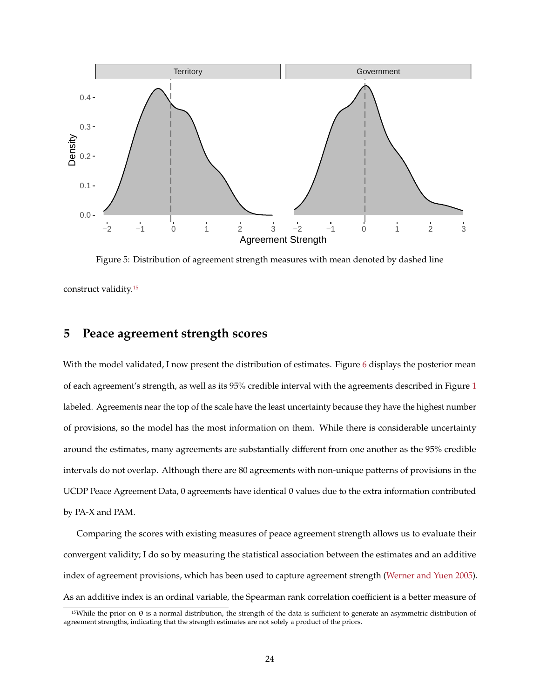<span id="page-23-0"></span>

Figure 5: Distribution of agreement strength measures with mean denoted by dashed line

construct validity.[15](#page-23-1)

## **5 Peace agreement strength scores**

With the model validated, I now present the distribution of estimates. Figure [6](#page-24-0) displays the posterior mean of each agreement's strength, as well as its 95% credible interval with the agreements described in Figure [1](#page-11-0) labeled. Agreements near the top of the scale have the least uncertainty because they have the highest number of provisions, so the model has the most information on them. While there is considerable uncertainty around the estimates, many agreements are substantially different from one another as the 95% credible intervals do not overlap. Although there are 80 agreements with non-unique patterns of provisions in the UCDP Peace Agreement Data, 0 agreements have identical θ values due to the extra information contributed by PA-X and PAM.

Comparing the scores with existing measures of peace agreement strength allows us to evaluate their convergent validity; I do so by measuring the statistical association between the estimates and an additive index of agreement provisions, which has been used to capture agreement strength [\(Werner and Yuen 2005\)](#page-35-0). As an additive index is an ordinal variable, the Spearman rank correlation coefficient is a better measure of

<span id="page-23-1"></span><sup>&</sup>lt;sup>15</sup>While the prior on  $θ$  is a normal distribution, the strength of the data is sufficient to generate an asymmetric distribution of agreement strengths, indicating that the strength estimates are not solely a product of the priors.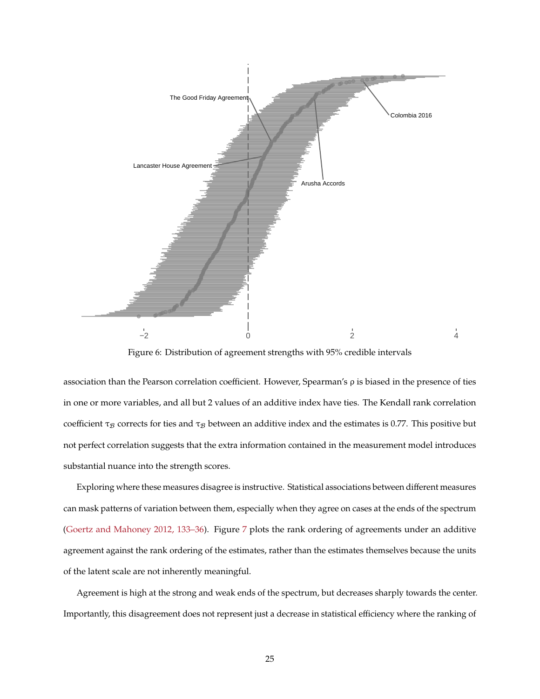<span id="page-24-0"></span>

Figure 6: Distribution of agreement strengths with 95% credible intervals

association than the Pearson correlation coefficient. However, Spearman's ρ is biased in the presence of ties in one or more variables, and all but 2 values of an additive index have ties. The Kendall rank correlation coefficient  $\tau_B$  corrects for ties and  $\tau_B$  between an additive index and the estimates is 0.77. This positive but not perfect correlation suggests that the extra information contained in the measurement model introduces substantial nuance into the strength scores.

Exploring where these measures disagree is instructive. Statistical associations between different measures can mask patterns of variation between them, especially when they agree on cases at the ends of the spectrum [\(Goertz and Mahoney 2012, 133–36\)](#page-31-7). Figure [7](#page-25-0) plots the rank ordering of agreements under an additive agreement against the rank ordering of the estimates, rather than the estimates themselves because the units of the latent scale are not inherently meaningful.

Agreement is high at the strong and weak ends of the spectrum, but decreases sharply towards the center. Importantly, this disagreement does not represent just a decrease in statistical efficiency where the ranking of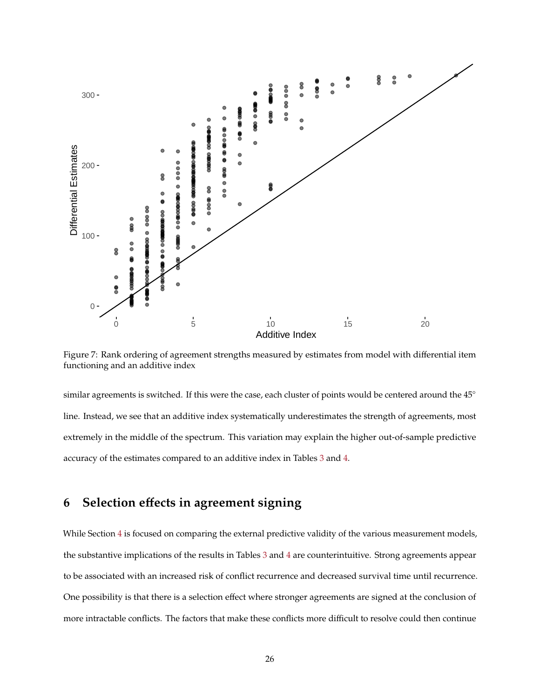<span id="page-25-0"></span>

Figure 7: Rank ordering of agreement strengths measured by estimates from model with differential item functioning and an additive index

similar agreements is switched. If this were the case, each cluster of points would be centered around the 45° line. Instead, we see that an additive index systematically underestimates the strength of agreements, most extremely in the middle of the spectrum. This variation may explain the higher out-of-sample predictive accuracy of the estimates compared to an additive index in Tables [3](#page-17-0) and [4.](#page-18-0)

## **6 Selection effects in agreement signing**

While Section [4](#page-15-3) is focused on comparing the external predictive validity of the various measurement models, the substantive implications of the results in Tables [3](#page-17-0) and [4](#page-18-0) are counterintuitive. Strong agreements appear to be associated with an increased risk of conflict recurrence and decreased survival time until recurrence. One possibility is that there is a selection effect where stronger agreements are signed at the conclusion of more intractable conflicts. The factors that make these conflicts more difficult to resolve could then continue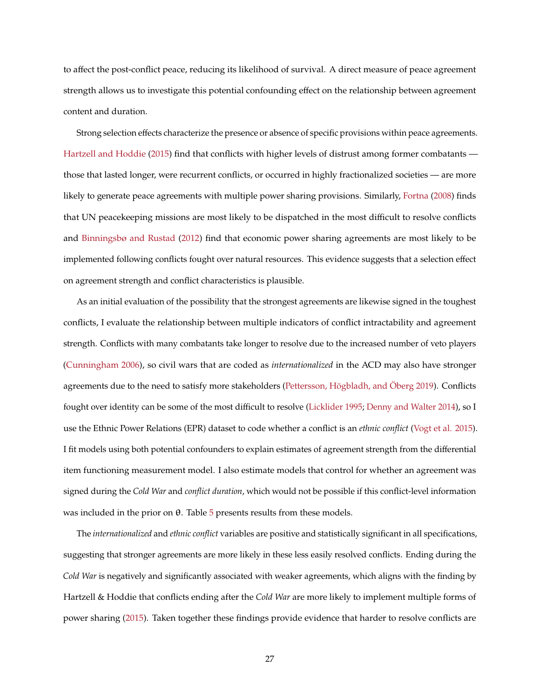to affect the post-conflict peace, reducing its likelihood of survival. A direct measure of peace agreement strength allows us to investigate this potential confounding effect on the relationship between agreement content and duration.

Strong selection effects characterize the presence or absence of specific provisions within peace agreements. [Hartzell and Hoddie](#page-32-11) [\(2015\)](#page-32-11) find that conflicts with higher levels of distrust among former combatants those that lasted longer, were recurrent conflicts, or occurred in highly fractionalized societies — are more likely to generate peace agreements with multiple power sharing provisions. Similarly, [Fortna](#page-31-2) [\(2008\)](#page-31-2) finds that UN peacekeeping missions are most likely to be dispatched in the most difficult to resolve conflicts and [Binningsbø and Rustad](#page-30-6) [\(2012\)](#page-30-6) find that economic power sharing agreements are most likely to be implemented following conflicts fought over natural resources. This evidence suggests that a selection effect on agreement strength and conflict characteristics is plausible.

As an initial evaluation of the possibility that the strongest agreements are likewise signed in the toughest conflicts, I evaluate the relationship between multiple indicators of conflict intractability and agreement strength. Conflicts with many combatants take longer to resolve due to the increased number of veto players [\(Cunningham 2006\)](#page-30-8), so civil wars that are coded as *internationalized* in the ACD may also have stronger agreements due to the need to satisfy more stakeholders [\(Pettersson, Högbladh, and Öberg 2019\)](#page-33-5). Conflicts fought over identity can be some of the most difficult to resolve [\(Licklider 1995;](#page-33-10) [Denny and Walter 2014\)](#page-31-8), so I use the Ethnic Power Relations (EPR) dataset to code whether a conflict is an *ethnic conflict* [\(Vogt et al. 2015\)](#page-35-9). I fit models using both potential confounders to explain estimates of agreement strength from the differential item functioning measurement model. I also estimate models that control for whether an agreement was signed during the *Cold War* and *conflict duration*, which would not be possible if this conflict-level information was included in the prior on  $θ$ . Table  $5$  presents results from these models.

The *internationalized* and *ethnic conflict* variables are positive and statistically significant in all specifications, suggesting that stronger agreements are more likely in these less easily resolved conflicts. Ending during the *Cold War* is negatively and significantly associated with weaker agreements, which aligns with the finding by Hartzell & Hoddie that conflicts ending after the *Cold War* are more likely to implement multiple forms of power sharing [\(2015\)](#page-32-11). Taken together these findings provide evidence that harder to resolve conflicts are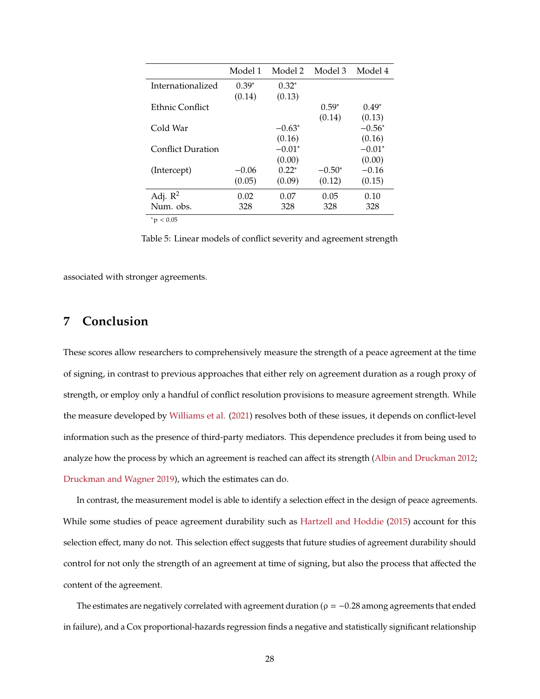<span id="page-27-0"></span>

|                          | Model 1 | Model 2   | Model 3   | Model 4  |
|--------------------------|---------|-----------|-----------|----------|
| Internationalized        | $0.39*$ | $0.32^*$  |           |          |
|                          | (0.14)  | (0.13)    |           |          |
| Ethnic Conflict          |         |           | $0.59*$   | $0.49*$  |
|                          |         |           | (0.14)    | (0.13)   |
| Cold War                 |         | $-0.63^*$ |           | $-0.56*$ |
|                          |         | (0.16)    |           | (0.16)   |
| <b>Conflict Duration</b> |         | $-0.01*$  |           | $-0.01*$ |
|                          |         | (0.00)    |           | (0.00)   |
| (Intercept)              | $-0.06$ | $0.22*$   | $-0.50^*$ | $-0.16$  |
|                          | (0.05)  | (0.09)    | (0.12)    | (0.15)   |
| Adj. $R^2$               | 0.02    | 0.07      | 0.05      | 0.10     |
| Num. obs.                | 328     | 328       | 328       | 328      |
|                          |         |           |           |          |

<sup>∗</sup><sup>p</sup> <sup>&</sup>lt; <sup>0</sup>.<sup>05</sup>

Table 5: Linear models of conflict severity and agreement strength

associated with stronger agreements.

## **7 Conclusion**

These scores allow researchers to comprehensively measure the strength of a peace agreement at the time of signing, in contrast to previous approaches that either rely on agreement duration as a rough proxy of strength, or employ only a handful of conflict resolution provisions to measure agreement strength. While the measure developed by [Williams et al.](#page-35-1) [\(2021\)](#page-35-1) resolves both of these issues, it depends on conflict-level information such as the presence of third-party mediators. This dependence precludes it from being used to analyze how the process by which an agreement is reached can affect its strength [\(Albin and Druckman 2012;](#page-30-9) [Druckman and Wagner 2019\)](#page-31-9), which the estimates can do.

In contrast, the measurement model is able to identify a selection effect in the design of peace agreements. While some studies of peace agreement durability such as [Hartzell and Hoddie](#page-32-11) [\(2015\)](#page-32-11) account for this selection effect, many do not. This selection effect suggests that future studies of agreement durability should control for not only the strength of an agreement at time of signing, but also the process that affected the content of the agreement.

The estimates are negatively correlated with agreement duration ( $\rho = -0.28$  among agreements that ended in failure), and a Cox proportional-hazards regression finds a negative and statistically significant relationship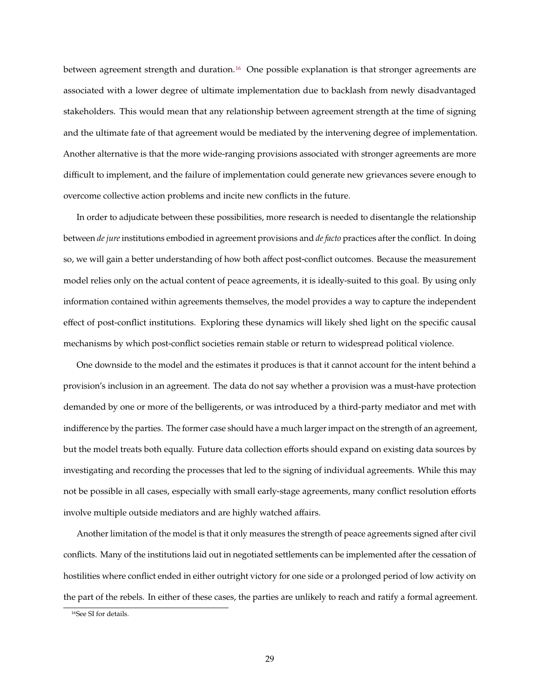between agreement strength and duration.[16](#page-28-0) One possible explanation is that stronger agreements are associated with a lower degree of ultimate implementation due to backlash from newly disadvantaged stakeholders. This would mean that any relationship between agreement strength at the time of signing and the ultimate fate of that agreement would be mediated by the intervening degree of implementation. Another alternative is that the more wide-ranging provisions associated with stronger agreements are more difficult to implement, and the failure of implementation could generate new grievances severe enough to overcome collective action problems and incite new conflicts in the future.

In order to adjudicate between these possibilities, more research is needed to disentangle the relationship between *de jure* institutions embodied in agreement provisions and *de facto* practices after the conflict. In doing so, we will gain a better understanding of how both affect post-conflict outcomes. Because the measurement model relies only on the actual content of peace agreements, it is ideally-suited to this goal. By using only information contained within agreements themselves, the model provides a way to capture the independent effect of post-conflict institutions. Exploring these dynamics will likely shed light on the specific causal mechanisms by which post-conflict societies remain stable or return to widespread political violence.

One downside to the model and the estimates it produces is that it cannot account for the intent behind a provision's inclusion in an agreement. The data do not say whether a provision was a must-have protection demanded by one or more of the belligerents, or was introduced by a third-party mediator and met with indifference by the parties. The former case should have a much larger impact on the strength of an agreement, but the model treats both equally. Future data collection efforts should expand on existing data sources by investigating and recording the processes that led to the signing of individual agreements. While this may not be possible in all cases, especially with small early-stage agreements, many conflict resolution efforts involve multiple outside mediators and are highly watched affairs.

Another limitation of the model is that it only measures the strength of peace agreements signed after civil conflicts. Many of the institutions laid out in negotiated settlements can be implemented after the cessation of hostilities where conflict ended in either outright victory for one side or a prolonged period of low activity on the part of the rebels. In either of these cases, the parties are unlikely to reach and ratify a formal agreement.

<span id="page-28-0"></span><sup>16</sup>See SI for details.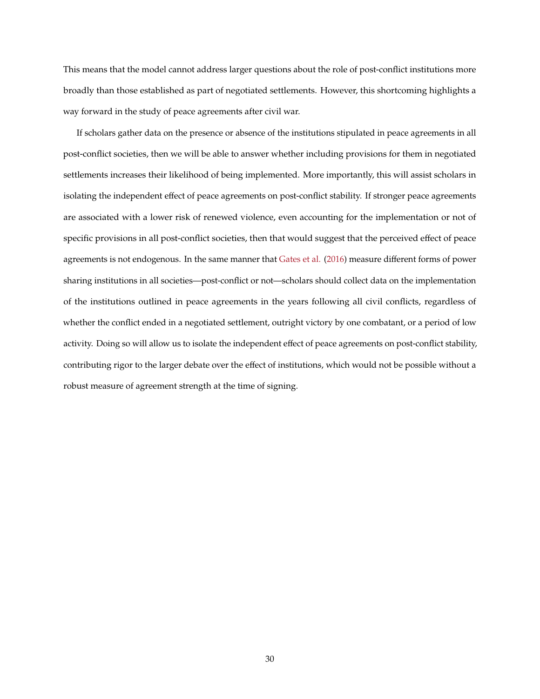This means that the model cannot address larger questions about the role of post-conflict institutions more broadly than those established as part of negotiated settlements. However, this shortcoming highlights a way forward in the study of peace agreements after civil war.

If scholars gather data on the presence or absence of the institutions stipulated in peace agreements in all post-conflict societies, then we will be able to answer whether including provisions for them in negotiated settlements increases their likelihood of being implemented. More importantly, this will assist scholars in isolating the independent effect of peace agreements on post-conflict stability. If stronger peace agreements are associated with a lower risk of renewed violence, even accounting for the implementation or not of specific provisions in all post-conflict societies, then that would suggest that the perceived effect of peace agreements is not endogenous. In the same manner that [Gates et al.](#page-31-3) [\(2016\)](#page-31-3) measure different forms of power sharing institutions in all societies—post-conflict or not—scholars should collect data on the implementation of the institutions outlined in peace agreements in the years following all civil conflicts, regardless of whether the conflict ended in a negotiated settlement, outright victory by one combatant, or a period of low activity. Doing so will allow us to isolate the independent effect of peace agreements on post-conflict stability, contributing rigor to the larger debate over the effect of institutions, which would not be possible without a robust measure of agreement strength at the time of signing.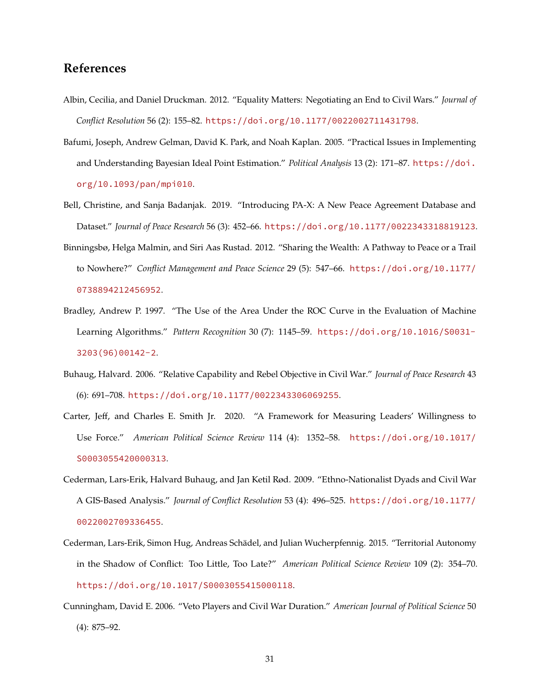## **References**

- <span id="page-30-9"></span>Albin, Cecilia, and Daniel Druckman. 2012. "Equality Matters: Negotiating an End to Civil Wars." *Journal of Conflict Resolution* 56 (2): 155–82. <https://doi.org/10.1177/0022002711431798>.
- <span id="page-30-4"></span>Bafumi, Joseph, Andrew Gelman, David K. Park, and Noah Kaplan. 2005. "Practical Issues in Implementing and Understanding Bayesian Ideal Point Estimation." *Political Analysis* 13 (2): 171–87. [https://doi.](https://doi.org/10.1093/pan/mpi010) [org/10.1093/pan/mpi010](https://doi.org/10.1093/pan/mpi010).
- <span id="page-30-0"></span>Bell, Christine, and Sanja Badanjak. 2019. "Introducing PA-X: A New Peace Agreement Database and Dataset." *Journal of Peace Research* 56 (3): 452–66. <https://doi.org/10.1177/0022343318819123>.
- <span id="page-30-6"></span>Binningsbø, Helga Malmin, and Siri Aas Rustad. 2012. "Sharing the Wealth: A Pathway to Peace or a Trail to Nowhere?" *Conflict Management and Peace Science* 29 (5): 547–66. [https://doi.org/10.1177/](https://doi.org/10.1177/0738894212456952) [0738894212456952](https://doi.org/10.1177/0738894212456952).
- <span id="page-30-7"></span>Bradley, Andrew P. 1997. "The Use of the Area Under the ROC Curve in the Evaluation of Machine Learning Algorithms." *Pattern Recognition* 30 (7): 1145–59. [https://doi.org/10.1016/S0031-](https://doi.org/10.1016/S0031-3203(96)00142-2) [3203\(96\)00142-2](https://doi.org/10.1016/S0031-3203(96)00142-2).
- <span id="page-30-1"></span>Buhaug, Halvard. 2006. "Relative Capability and Rebel Objective in Civil War." *Journal of Peace Research* 43 (6): 691–708. <https://doi.org/10.1177/0022343306069255>.
- <span id="page-30-5"></span>Carter, Jeff, and Charles E. Smith Jr. 2020. "A Framework for Measuring Leaders' Willingness to Use Force." *American Political Science Review* 114 (4): 1352–58. [https://doi.org/10.1017/](https://doi.org/10.1017/S0003055420000313) [S0003055420000313](https://doi.org/10.1017/S0003055420000313).
- <span id="page-30-2"></span>Cederman, Lars-Erik, Halvard Buhaug, and Jan Ketil Rød. 2009. "Ethno-Nationalist Dyads and Civil War A GIS-Based Analysis." *Journal of Conflict Resolution* 53 (4): 496–525. [https://doi.org/10.1177/](https://doi.org/10.1177/0022002709336455) [0022002709336455](https://doi.org/10.1177/0022002709336455).
- <span id="page-30-3"></span>Cederman, Lars-Erik, Simon Hug, Andreas Schädel, and Julian Wucherpfennig. 2015. "Territorial Autonomy in the Shadow of Conflict: Too Little, Too Late?" *American Political Science Review* 109 (2): 354–70. <https://doi.org/10.1017/S0003055415000118>.
- <span id="page-30-8"></span>Cunningham, David E. 2006. "Veto Players and Civil War Duration." *American Journal of Political Science* 50 (4): 875–92.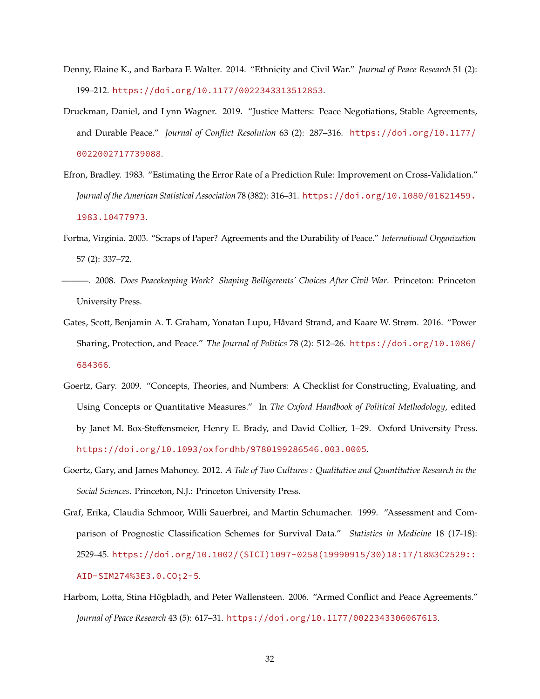- <span id="page-31-8"></span>Denny, Elaine K., and Barbara F. Walter. 2014. "Ethnicity and Civil War." *Journal of Peace Research* 51 (2): 199–212. <https://doi.org/10.1177/0022343313512853>.
- <span id="page-31-9"></span>Druckman, Daniel, and Lynn Wagner. 2019. "Justice Matters: Peace Negotiations, Stable Agreements, and Durable Peace." *Journal of Conflict Resolution* 63 (2): 287–316. [https://doi.org/10.1177/](https://doi.org/10.1177/0022002717739088) [0022002717739088](https://doi.org/10.1177/0022002717739088).
- <span id="page-31-5"></span>Efron, Bradley. 1983. "Estimating the Error Rate of a Prediction Rule: Improvement on Cross-Validation." *Journal of the American Statistical Association* 78 (382): 316–31. [https://doi.org/10.1080/01621459.](https://doi.org/10.1080/01621459.1983.10477973) [1983.10477973](https://doi.org/10.1080/01621459.1983.10477973).
- <span id="page-31-0"></span>Fortna, Virginia. 2003. "Scraps of Paper? Agreements and the Durability of Peace." *International Organization* 57 (2): 337–72.
- <span id="page-31-2"></span>———. 2008. *Does Peacekeeping Work? Shaping Belligerents' Choices After Civil War*. Princeton: Princeton University Press.
- <span id="page-31-3"></span>Gates, Scott, Benjamin A. T. Graham, Yonatan Lupu, Håvard Strand, and Kaare W. Strøm. 2016. "Power Sharing, Protection, and Peace." *The Journal of Politics* 78 (2): 512–26. [https://doi.org/10.1086/](https://doi.org/10.1086/684366) [684366](https://doi.org/10.1086/684366).
- <span id="page-31-6"></span>Goertz, Gary. 2009. "Concepts, Theories, and Numbers: A Checklist for Constructing, Evaluating, and Using Concepts or Quantitative Measures." In *The Oxford Handbook of Political Methodology*, edited by Janet M. Box-Steffensmeier, Henry E. Brady, and David Collier, 1–29. Oxford University Press. <https://doi.org/10.1093/oxfordhb/9780199286546.003.0005>.
- <span id="page-31-7"></span>Goertz, Gary, and James Mahoney. 2012. *A Tale of Two Cultures : Qualitative and Quantitative Research in the Social Sciences*. Princeton, N.J.: Princeton University Press.
- <span id="page-31-4"></span>Graf, Erika, Claudia Schmoor, Willi Sauerbrei, and Martin Schumacher. 1999. "Assessment and Comparison of Prognostic Classification Schemes for Survival Data." *Statistics in Medicine* 18 (17-18): 2529–45. [https://doi.org/10.1002/\(SICI\)1097-0258\(19990915/30\)18:17/18%3C2529::](https://doi.org/10.1002/(SICI)1097-0258(19990915/30)18:17/18%3C2529::AID-SIM274%3E3.0.CO;2-5) [AID-SIM274%3E3.0.CO;2-5](https://doi.org/10.1002/(SICI)1097-0258(19990915/30)18:17/18%3C2529::AID-SIM274%3E3.0.CO;2-5).
- <span id="page-31-1"></span>Harbom, Lotta, Stina Högbladh, and Peter Wallensteen. 2006. "Armed Conflict and Peace Agreements." *Journal of Peace Research* 43 (5): 617–31. <https://doi.org/10.1177/0022343306067613>.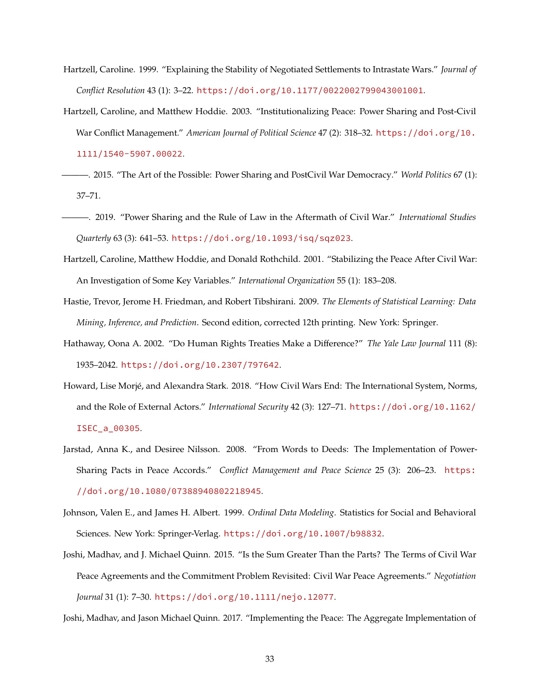- <span id="page-32-9"></span>Hartzell, Caroline. 1999. "Explaining the Stability of Negotiated Settlements to Intrastate Wars." *Journal of Conflict Resolution* 43 (1): 3–22. <https://doi.org/10.1177/0022002799043001001>.
- <span id="page-32-1"></span>Hartzell, Caroline, and Matthew Hoddie. 2003. "Institutionalizing Peace: Power Sharing and Post-Civil War Conflict Management." *American Journal of Political Science* 47 (2): 318–32. [https://doi.org/10.](https://doi.org/10.1111/1540-5907.00022) [1111/1540-5907.00022](https://doi.org/10.1111/1540-5907.00022).
- <span id="page-32-11"></span>———. 2015. "The Art of the Possible: Power Sharing and PostCivil War Democracy." *World Politics* 67 (1): 37–71.
- <span id="page-32-4"></span>———. 2019. "Power Sharing and the Rule of Law in the Aftermath of Civil War." *International Studies Quarterly* 63 (3): 641–53. <https://doi.org/10.1093/isq/sqz023>.
- <span id="page-32-0"></span>Hartzell, Caroline, Matthew Hoddie, and Donald Rothchild. 2001. "Stabilizing the Peace After Civil War: An Investigation of Some Key Variables." *International Organization* 55 (1): 183–208.
- <span id="page-32-10"></span>Hastie, Trevor, Jerome H. Friedman, and Robert Tibshirani. 2009. *The Elements of Statistical Learning: Data Mining, Inference, and Prediction*. Second edition, corrected 12th printing. New York: Springer.
- <span id="page-32-3"></span>Hathaway, Oona A. 2002. "Do Human Rights Treaties Make a Difference?" *The Yale Law Journal* 111 (8): 1935–2042. <https://doi.org/10.2307/797642>.
- <span id="page-32-8"></span>Howard, Lise Morjé, and Alexandra Stark. 2018. "How Civil Wars End: The International System, Norms, and the Role of External Actors." *International Security* 42 (3): 127–71. [https://doi.org/10.1162/](https://doi.org/10.1162/ISEC_a_00305) [ISEC\\_a\\_00305](https://doi.org/10.1162/ISEC_a_00305).
- <span id="page-32-5"></span>Jarstad, Anna K., and Desiree Nilsson. 2008. "From Words to Deeds: The Implementation of Power-Sharing Pacts in Peace Accords." *Conflict Management and Peace Science* 25 (3): 206–23. [https:](https://doi.org/10.1080/07388940802218945) [//doi.org/10.1080/07388940802218945](https://doi.org/10.1080/07388940802218945).
- <span id="page-32-7"></span>Johnson, Valen E., and James H. Albert. 1999. *Ordinal Data Modeling*. Statistics for Social and Behavioral Sciences. New York: Springer-Verlag. <https://doi.org/10.1007/b98832>.
- <span id="page-32-2"></span>Joshi, Madhav, and J. Michael Quinn. 2015. "Is the Sum Greater Than the Parts? The Terms of Civil War Peace Agreements and the Commitment Problem Revisited: Civil War Peace Agreements." *Negotiation Journal* 31 (1): 7–30. <https://doi.org/10.1111/nejo.12077>.
- <span id="page-32-6"></span>Joshi, Madhav, and Jason Michael Quinn. 2017. "Implementing the Peace: The Aggregate Implementation of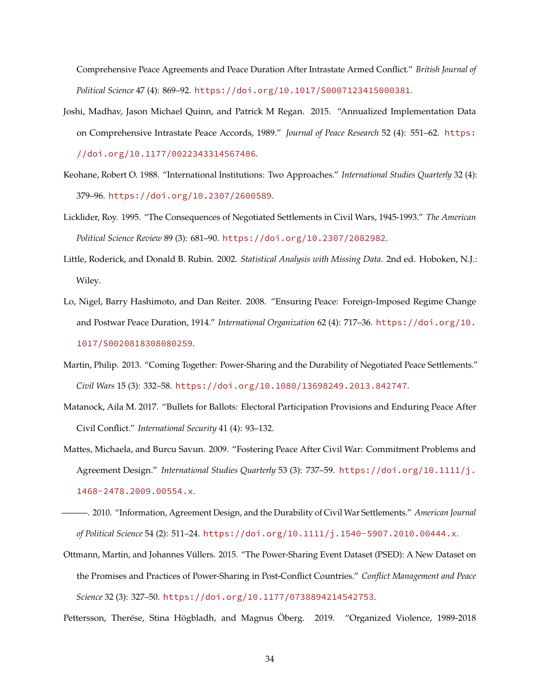Comprehensive Peace Agreements and Peace Duration After Intrastate Armed Conflict." *British Journal of Political Science* 47 (4): 869–92. <https://doi.org/10.1017/S0007123415000381>.

- <span id="page-33-2"></span>Joshi, Madhav, Jason Michael Quinn, and Patrick M Regan. 2015. "Annualized Implementation Data on Comprehensive Intrastate Peace Accords, 1989." *Journal of Peace Research* 52 (4): 551–62. [https:](https://doi.org/10.1177/0022343314567486) [//doi.org/10.1177/0022343314567486](https://doi.org/10.1177/0022343314567486).
- <span id="page-33-3"></span>Keohane, Robert O. 1988. "International Institutions: Two Approaches." *International Studies Quarterly* 32 (4): 379–96. <https://doi.org/10.2307/2600589>.
- <span id="page-33-10"></span>Licklider, Roy. 1995. "The Consequences of Negotiated Settlements in Civil Wars, 1945-1993." *The American Political Science Review* 89 (3): 681–90. <https://doi.org/10.2307/2082982>.
- <span id="page-33-7"></span>Little, Roderick, and Donald B. Rubin. 2002. *Statistical Analysis with Missing Data*. 2nd ed. Hoboken, N.J.: Wiley.
- <span id="page-33-8"></span>Lo, Nigel, Barry Hashimoto, and Dan Reiter. 2008. "Ensuring Peace: Foreign-Imposed Regime Change and Postwar Peace Duration, 1914." *International Organization* 62 (4): 717–36. [https://doi.org/10.](https://doi.org/10.1017/S0020818308080259) [1017/S0020818308080259](https://doi.org/10.1017/S0020818308080259).
- <span id="page-33-9"></span>Martin, Philip. 2013. "Coming Together: Power-Sharing and the Durability of Negotiated Peace Settlements." *Civil Wars* 15 (3): 332–58. <https://doi.org/10.1080/13698249.2013.842747>.
- <span id="page-33-0"></span>Matanock, Aila M. 2017. "Bullets for Ballots: Electoral Participation Provisions and Enduring Peace After Civil Conflict." *International Security* 41 (4): 93–132.
- <span id="page-33-1"></span>Mattes, Michaela, and Burcu Savun. 2009. "Fostering Peace After Civil War: Commitment Problems and Agreement Design." *International Studies Quarterly* 53 (3): 737–59. [https://doi.org/10.1111/j.](https://doi.org/10.1111/j.1468-2478.2009.00554.x) [1468-2478.2009.00554.x](https://doi.org/10.1111/j.1468-2478.2009.00554.x).
- <span id="page-33-6"></span>———. 2010. "Information, Agreement Design, and the Durability of Civil War Settlements." *American Journal of Political Science* 54 (2): 511–24. <https://doi.org/10.1111/j.1540-5907.2010.00444.x>.
- <span id="page-33-4"></span>Ottmann, Martin, and Johannes Vüllers. 2015. "The Power-Sharing Event Dataset (PSED): A New Dataset on the Promises and Practices of Power-Sharing in Post-Conflict Countries." *Conflict Management and Peace Science* 32 (3): 327–50. <https://doi.org/10.1177/0738894214542753>.
- <span id="page-33-5"></span>Pettersson, Therése, Stina Högbladh, and Magnus Öberg. 2019. "Organized Violence, 1989-2018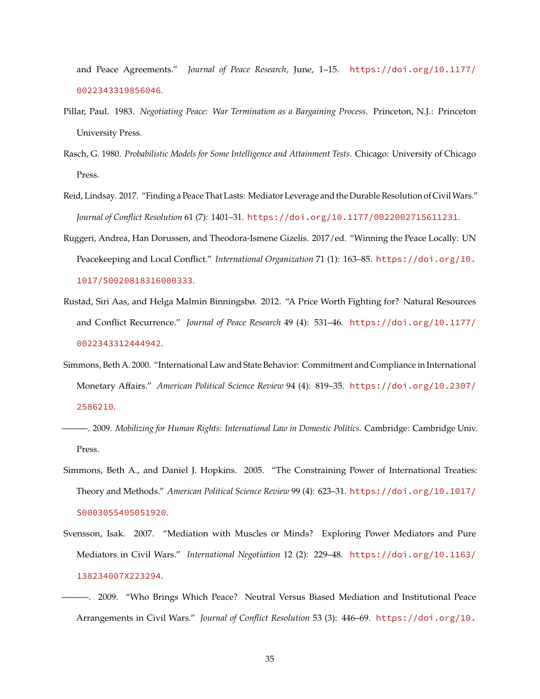and Peace Agreements." *Journal of Peace Research*, June, 1–15. [https://doi.org/10.1177/](https://doi.org/10.1177/0022343319856046) [0022343319856046](https://doi.org/10.1177/0022343319856046).

- <span id="page-34-9"></span>Pillar, Paul. 1983. *Negotiating Peace: War Termination as a Bargaining Process*. Princeton, N.J.: Princeton University Press.
- <span id="page-34-7"></span>Rasch, G. 1980. *Probabilistic Models for Some Intelligence and Attainment Tests*. Chicago: University of Chicago Press.
- <span id="page-34-0"></span>Reid, Lindsay. 2017. "Finding a Peace That Lasts: Mediator Leverage and the Durable Resolution of CivilWars." *Journal of Conflict Resolution* 61 (7): 1401–31. <https://doi.org/10.1177/0022002715611231>.
- <span id="page-34-6"></span>Ruggeri, Andrea, Han Dorussen, and Theodora-Ismene Gizelis. 2017/ed. "Winning the Peace Locally: UN Peacekeeping and Local Conflict." *International Organization* 71 (1): 163–85. [https://doi.org/10.](https://doi.org/10.1017/S0020818316000333) [1017/S0020818316000333](https://doi.org/10.1017/S0020818316000333).
- <span id="page-34-8"></span>Rustad, Siri Aas, and Helga Malmin Binningsbø. 2012. "A Price Worth Fighting for? Natural Resources and Conflict Recurrence." *Journal of Peace Research* 49 (4): 531–46. [https://doi.org/10.1177/](https://doi.org/10.1177/0022343312444942) [0022343312444942](https://doi.org/10.1177/0022343312444942).
- <span id="page-34-2"></span>Simmons, Beth A. 2000. "International Law and State Behavior: Commitment and Compliance in International Monetary Affairs." *American Political Science Review* 94 (4): 819–35. [https://doi.org/10.2307/](https://doi.org/10.2307/2586210) [2586210](https://doi.org/10.2307/2586210).
- <span id="page-34-4"></span>———. 2009. *Mobilizing for Human Rights: International Law in Domestic Politics*. Cambridge: Cambridge Univ. Press.
- <span id="page-34-3"></span>Simmons, Beth A., and Daniel J. Hopkins. 2005. "The Constraining Power of International Treaties: Theory and Methods." *American Political Science Review* 99 (4): 623–31. [https://doi.org/10.1017/](https://doi.org/10.1017/S0003055405051920) [S0003055405051920](https://doi.org/10.1017/S0003055405051920).
- <span id="page-34-5"></span>Svensson, Isak. 2007. "Mediation with Muscles or Minds? Exploring Power Mediators and Pure Mediators in Civil Wars." *International Negotiation* 12 (2): 229–48. [https://doi.org/10.1163/](https://doi.org/10.1163/138234007X223294) [138234007X223294](https://doi.org/10.1163/138234007X223294).
- <span id="page-34-1"></span>———. 2009. "Who Brings Which Peace? Neutral Versus Biased Mediation and Institutional Peace Arrangements in Civil Wars." *Journal of Conflict Resolution* 53 (3): 446–69. [https://doi.org/10.](https://doi.org/10.1177/0022002709332207)